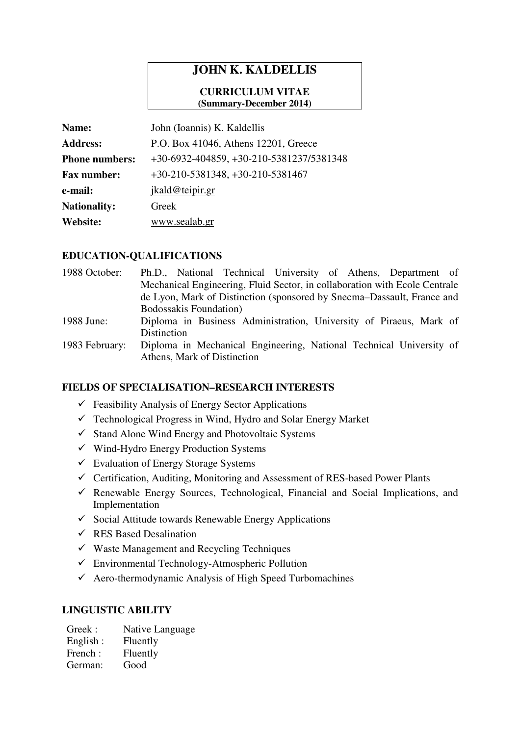# **JOHN K. KALDELLIS**

#### **CURRICULUM VITAE (Summary-December 2014)**

| Name:                 | John (Ioannis) K. Kaldellis              |
|-----------------------|------------------------------------------|
| <b>Address:</b>       | P.O. Box 41046, Athens 12201, Greece     |
| <b>Phone numbers:</b> | +30-6932-404859, +30-210-5381237/5381348 |
| <b>Fax number:</b>    | $+30-210-5381348, +30-210-5381467$       |
| e-mail:               | jkald@teipir.gr                          |
| <b>Nationality:</b>   | Greek                                    |
| <b>Website:</b>       | www.sealab.gr                            |

### **EDUCATION-QUALIFICATIONS**

| 1988 October:  | Ph.D., National Technical University of Athens, Department of              |
|----------------|----------------------------------------------------------------------------|
|                | Mechanical Engineering, Fluid Sector, in collaboration with Ecole Centrale |
|                | de Lyon, Mark of Distinction (sponsored by Snecma–Dassault, France and     |
|                | <b>Bodossakis Foundation</b> )                                             |
| 1988 June:     | Diploma in Business Administration, University of Piraeus, Mark of         |
|                | Distinction                                                                |
| 1983 February: | Diploma in Mechanical Engineering, National Technical University of        |
|                | Athens, Mark of Distinction                                                |

### **FIELDS OF SPECIALISATION–RESEARCH INTERESTS**

- $\checkmark$  Feasibility Analysis of Energy Sector Applications
- $\checkmark$  Technological Progress in Wind, Hydro and Solar Energy Market
- $\checkmark$  Stand Alone Wind Energy and Photovoltaic Systems
- $\checkmark$  Wind-Hydro Energy Production Systems
- $\checkmark$  Evaluation of Energy Storage Systems
- $\checkmark$  Certification, Auditing, Monitoring and Assessment of RES-based Power Plants
- $\checkmark$  Renewable Energy Sources, Technological, Financial and Social Implications, and Implementation
- $\checkmark$  Social Attitude towards Renewable Energy Applications
- $\checkmark$  RES Based Desalination
- $\checkmark$  Waste Management and Recycling Techniques
- $\checkmark$  Environmental Technology-Atmospheric Pollution
- Aero-thermodynamic Analysis of High Speed Turbomachines

### **LINGUISTIC ABILITY**

Greek : Native Language English : Fluently French : Fluently German: Good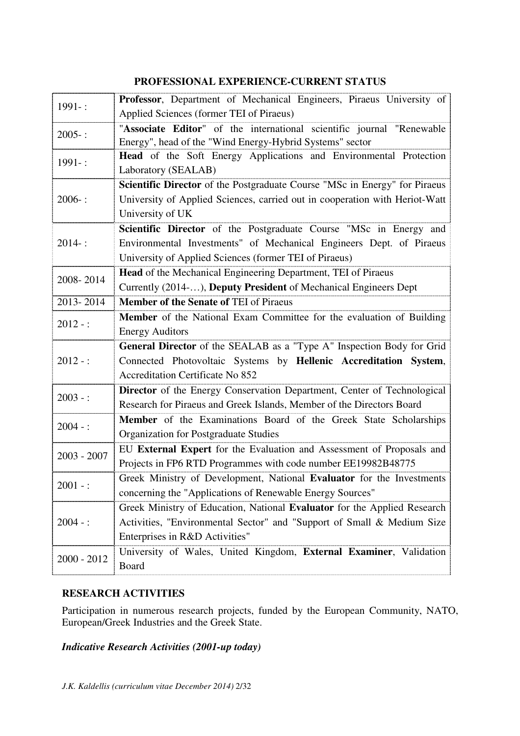# **PROFESSIONAL EXPERIENCE-CURRENT STATUS**

| $1991 -$ :    | Professor, Department of Mechanical Engineers, Piraeus University of        |
|---------------|-----------------------------------------------------------------------------|
|               | Applied Sciences (former TEI of Piraeus)                                    |
| $2005 -$ :    | "Associate Editor" of the international scientific journal "Renewable       |
|               | Energy", head of the "Wind Energy-Hybrid Systems" sector                    |
| 1991-:        | Head of the Soft Energy Applications and Environmental Protection           |
|               | Laboratory (SEALAB)                                                         |
| $2006 -$ :    | Scientific Director of the Postgraduate Course "MSc in Energy" for Piraeus  |
|               | University of Applied Sciences, carried out in cooperation with Heriot-Watt |
|               | University of UK                                                            |
| $2014 -$ :    | Scientific Director of the Postgraduate Course "MSc in Energy and           |
|               | Environmental Investments" of Mechanical Engineers Dept. of Piraeus         |
|               | University of Applied Sciences (former TEI of Piraeus)                      |
| 2008-2014     | <b>Head</b> of the Mechanical Engineering Department, TEI of Piraeus        |
|               | Currently (2014-), Deputy President of Mechanical Engineers Dept            |
| 2013-2014     | <b>Member of the Senate of TEI of Piraeus</b>                               |
| $2012 -$ :    | Member of the National Exam Committee for the evaluation of Building        |
|               | <b>Energy Auditors</b>                                                      |
| $2012 -$ :    | General Director of the SEALAB as a "Type A" Inspection Body for Grid       |
|               | Connected Photovoltaic Systems by Hellenic Accreditation System,            |
|               | <b>Accreditation Certificate No 852</b>                                     |
| $2003 -$ :    | Director of the Energy Conservation Department, Center of Technological     |
|               | Research for Piraeus and Greek Islands, Member of the Directors Board       |
| $2004 -$ :    | Member of the Examinations Board of the Greek State Scholarships            |
|               | Organization for Postgraduate Studies                                       |
| $2003 - 2007$ | EU External Expert for the Evaluation and Assessment of Proposals and       |
|               | Projects in FP6 RTD Programmes with code number EE19982B48775               |
| $2001 -$ :    | Greek Ministry of Development, National Evaluator for the Investments       |
|               | concerning the "Applications of Renewable Energy Sources"                   |
| $2004 -$ :    | Greek Ministry of Education, National Evaluator for the Applied Research    |
|               | Activities, "Environmental Sector" and "Support of Small & Medium Size      |
|               | Enterprises in R&D Activities"                                              |
| $2000 - 2012$ | University of Wales, United Kingdom, External Examiner, Validation          |
|               | <b>Board</b>                                                                |

# **RESEARCH ACTIVITIES**

Participation in numerous research projects, funded by the European Community, NATO, European/Greek Industries and the Greek State.

# *Indicative Research Activities (2001-up today)*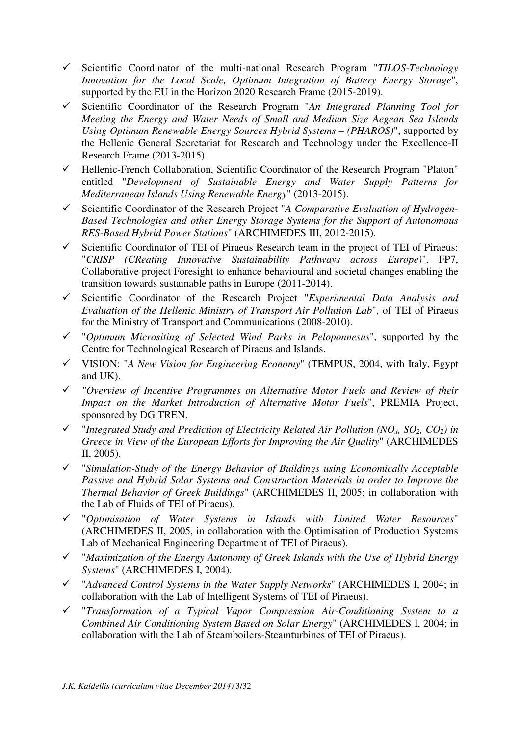- Scientific Coordinator of the multi-national Research Program "*TILOS-Technology Innovation for the Local Scale, Optimum Integration of Battery Energy Storage*", supported by the EU in the Horizon 2020 Research Frame (2015-2019).
- Scientific Coordinator of the Research Program "*An Integrated Planning Tool for Meeting the Energy and Water Needs of Small and Medium Size Aegean Sea Islands Using Optimum Renewable Energy Sources Hybrid Systems – (PHAROS)*", supported by the Hellenic General Secretariat for Research and Technology under the Excellence-II Research Frame (2013-2015).
- Hellenic-French Collaboration, Scientific Coordinator of the Research Program "Platon" entitled "*Development of Sustainable Energy and Water Supply Patterns for Mediterranean Islands Using Renewable Energy*" (2013-2015).
- Scientific Coordinator of the Research Project "*A Comparative Evaluation of Hydrogen-Based Technologies and other Energy Storage Systems for the Support of Autonomous RES-Based Hybrid Power Stations*" (ARCHIMEDES III, 2012-2015).
- $\checkmark$  Scientific Coordinator of TEI of Piraeus Research team in the project of TEI of Piraeus: "*CRISP (CReating Innovative Sustainability Pathways across Europe)*", FP7, Collaborative project Foresight to enhance behavioural and societal changes enabling the transition towards sustainable paths in Europe (2011-2014).
- Scientific Coordinator of the Research Project "*Experimental Data Analysis and Evaluation of the Hellenic Ministry of Transport Air Pollution Lab*", of TEI of Piraeus for the Ministry of Transport and Communications (2008-2010).
- "*Optimum Micrositing of Selected Wind Parks in Peloponnesus*", supported by the Centre for Technological Research of Piraeus and Islands.
- VISION: "*A New Vision for Engineering Economy*" (TEMPUS, 2004, with Italy, Egypt and UK).
- *"Overview of Incentive Programmes on Alternative Motor Fuels and Review of their Impact on the Market Introduction of Alternative Motor Fuels*", PREMIA Project, sponsored by DG TREN.
- $\checkmark$  "Integrated Study and Prediction of Electricity Related Air Pollution (NO<sub>*x*</sub>, SO<sub>2</sub>, CO<sub>2</sub>) in *Greece in View of the European Efforts for Improving the Air Quality*" (ARCHIMEDES II, 2005).
- "*Simulation-Study of the Energy Behavior of Buildings using Economically Acceptable Passive and Hybrid Solar Systems and Construction Materials in order to Improve the Thermal Behavior of Greek Buildings*" (ARCHIMEDES II, 2005; in collaboration with the Lab of Fluids of TEI of Piraeus).
- "*Optimisation of Water Systems in Islands with Limited Water Resources*" (ARCHIMEDES II, 2005, in collaboration with the Optimisation of Production Systems Lab of Mechanical Engineering Department of TEI of Piraeus).
- "*Maximization of the Energy Autonomy of Greek Islands with the Use of Hybrid Energy Systems*" (ARCHIMEDES I, 2004).
- "*Advanced Control Systems in the Water Supply Networks*" (ARCHIMEDES I, 2004; in collaboration with the Lab of Intelligent Systems of TEI of Piraeus).
- "*Transformation of a Typical Vapor Compression Air-Conditioning System to a Combined Air Conditioning System Based on Solar Energy*" (ARCHIMEDES I, 2004; in collaboration with the Lab of Steamboilers-Steamturbines of TEI of Piraeus).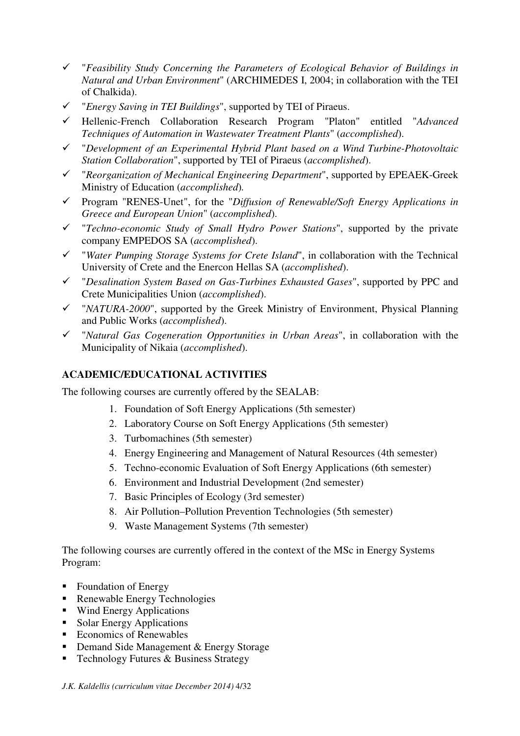- "*Feasibility Study Concerning the Parameters of Ecological Behavior of Buildings in Natural and Urban Environment*" (ARCHIMEDES I, 2004; in collaboration with the TEI of Chalkida).
- "*Energy Saving in TEI Buildings*", supported by TEI of Piraeus.
- Hellenic-French Collaboration Research Program "Platon" entitled "*Advanced Techniques of Automation in Wastewater Treatment Plants*" (*accomplished*).
- "*Development of an Experimental Hybrid Plant based on a Wind Turbine-Photovoltaic Station Collaboration*", supported by TEI of Piraeus (*accomplished*).
- "*Reorganization of Mechanical Engineering Department*", supported by EPEAEK-Greek Ministry of Education (*accomplished*)*.*
- Program "RENES-Unet", for the "*Diffusion of Renewable/Soft Energy Applications in Greece and European Union*" (*accomplished*).
- "*Techno-economic Study of Small Hydro Power Stations*", supported by the private company EMPEDOS SA (*accomplished*).
- "*Water Pumping Storage Systems for Crete Island*", in collaboration with the Technical University of Crete and the Enercon Hellas SA (*accomplished*).
- "*Desalination System Based on Gas-Turbines Exhausted Gases*", supported by PPC and Crete Municipalities Union (*accomplished*).
- "*NATURA-2000*", supported by the Greek Ministry of Environment, Physical Planning and Public Works (*accomplished*).
- "*Natural Gas Cogeneration Opportunities in Urban Areas*", in collaboration with the Municipality of Nikaia (*accomplished*).

# **ACADEMIC/EDUCATIONAL ACTIVITIES**

The following courses are currently offered by the SEALAB:

- 1. Foundation of Soft Energy Applications (5th semester)
- 2. Laboratory Course on Soft Energy Applications (5th semester)
- 3. Turbomachines (5th semester)
- 4. Energy Engineering and Management of Natural Resources (4th semester)
- 5. Techno-economic Evaluation of Soft Energy Applications (6th semester)
- 6. Environment and Industrial Development (2nd semester)
- 7. Basic Principles of Ecology (3rd semester)
- 8. Air Pollution–Pollution Prevention Technologies (5th semester)
- 9. Waste Management Systems (7th semester)

The following courses are currently offered in the context of the MSc in Energy Systems Program:

- Foundation of Energy
- Renewable Energy Technologies
- Wind Energy Applications
- **Solar Energy Applications**
- Economics of Renewables
- **-** Demand Side Management & Energy Storage
- Technology Futures & Business Strategy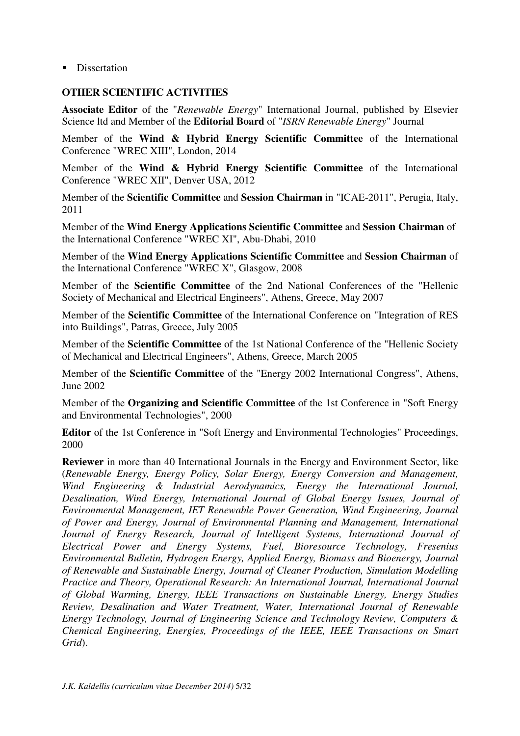**-** Dissertation

## **OTHER SCIENTIFIC ACTIVITIES**

**Associate Editor** of the "*Renewable Energy*" International Journal, published by Elsevier Science ltd and Member of the **Editorial Board** of "*ISRN Renewable Energy*" Journal

Member of the **Wind & Hybrid Energy Scientific Committee** of the International Conference "WREC XIII", London, 2014

Member of the **Wind & Hybrid Energy Scientific Committee** of the International Conference "WREC XII", Denver USA, 2012

Member of the **Scientific Committee** and **Session Chairman** in "ICAE-2011", Perugia, Italy, 2011

Member of the **Wind Energy Applications Scientific Committee** and **Session Chairman** of the International Conference "WREC XI", Abu-Dhabi, 2010

Member of the **Wind Energy Applications Scientific Committee** and **Session Chairman** of the International Conference "WREC X", Glasgow, 2008

Member of the **Scientific Committee** of the 2nd National Conferences of the "Hellenic Society of Mechanical and Electrical Engineers", Athens, Greece, May 2007

Member of the **Scientific Committee** of the International Conference on "Integration of RES into Buildings", Patras, Greece, July 2005

Member of the **Scientific Committee** of the 1st National Conference of the "Hellenic Society of Mechanical and Electrical Engineers", Athens, Greece, March 2005

Member of the **Scientific Committee** of the "Energy 2002 International Congress", Athens, June 2002

Member of the **Organizing and Scientific Committee** of the 1st Conference in "Soft Energy and Environmental Technologies", 2000

**Editor** of the 1st Conference in "Soft Energy and Environmental Technologies" Proceedings, 2000

**Reviewer** in more than 40 International Journals in the Energy and Environment Sector, like (*Renewable Energy, Energy Policy, Solar Energy, Energy Conversion and Management, Wind Engineering & Industrial Aerodynamics, Energy the International Journal, Desalination, Wind Energy, International Journal of Global Energy Issues, Journal of Environmental Management, IET Renewable Power Generation, Wind Engineering, Journal of Power and Energy, Journal of Environmental Planning and Management, International Journal of Energy Research, Journal of Intelligent Systems, International Journal of Electrical Power and Energy Systems, Fuel, Bioresource Technology, Fresenius Environmental Bulletin, Hydrogen Energy, Applied Energy, Biomass and Bioenergy, Journal of Renewable and Sustainable Energy, Journal of Cleaner Production, Simulation Modelling Practice and Theory, Operational Research: An International Journal, International Journal of Global Warming, Energy, IEEE Transactions on Sustainable Energy, Energy Studies Review, Desalination and Water Treatment, Water, International Journal of Renewable Energy Technology, Journal of Engineering Science and Technology Review, Computers & Chemical Engineering, Energies, Proceedings of the IEEE, IEEE Transactions on Smart Grid*).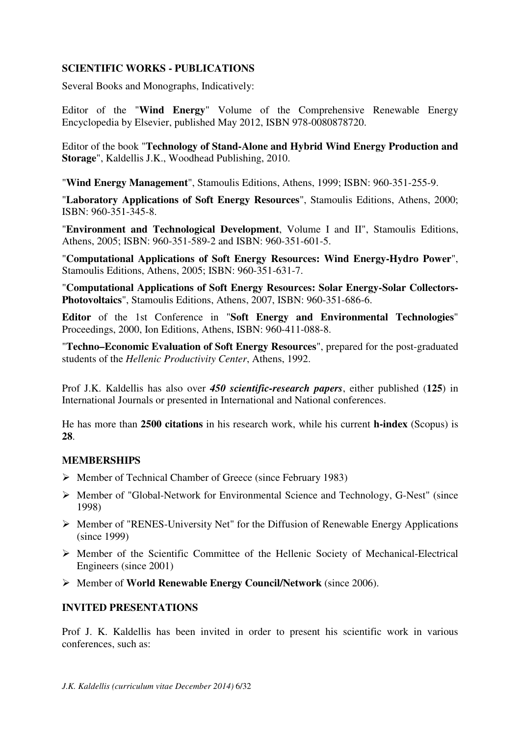### **SCIENTIFIC WORKS - PUBLICATIONS**

Several Books and Monographs, Indicatively:

Editor of the "**Wind Energy**" Volume of the Comprehensive Renewable Energy Encyclopedia by Elsevier, published May 2012, ISBN 978-0080878720.

Editor of the book "**Technology of Stand-Alone and Hybrid Wind Energy Production and Storage**", Kaldellis J.K., Woodhead Publishing, 2010.

"**Wind Energy Management**", Stamoulis Editions, Athens, 1999; ISBN: 960-351-255-9.

"**Laboratory Applications of Soft Energy Resources**", Stamoulis Editions, Athens, 2000; ISBN: 960-351-345-8.

"**Environment and Technological Development**, Volume I and II", Stamoulis Editions, Athens, 2005; ISBN: 960-351-589-2 and ISBN: 960-351-601-5.

"**Computational Applications of Soft Energy Resources: Wind Energy-Hydro Power**", Stamoulis Editions, Athens, 2005; ISBN: 960-351-631-7.

"**Computational Applications of Soft Energy Resources: Solar Energy-Solar Collectors-Photovoltaics**", Stamoulis Editions, Athens, 2007, ISBN: 960-351-686-6.

**Editor** of the 1st Conference in "**Soft Energy and Environmental Technologies**" Proceedings, 2000, Ion Editions, Athens, ISBN: 960-411-088-8.

"**Techno–Economic Evaluation of Soft Energy Resources**", prepared for the post-graduated students of the *Hellenic Productivity Center*, Athens, 1992.

Prof J.K. Kaldellis has also over *450 scientific-research papers*, either published (**125**) in International Journals or presented in International and National conferences.

He has more than **2500 citations** in his research work, while his current **h-index** (Scopus) is **28**.

#### **MEMBERSHIPS**

- Member of Technical Chamber of Greece (since February 1983)
- $\triangleright$  Member of "Global-Network for Environmental Science and Technology, G-Nest" (since 1998)
- $\triangleright$  Member of "RENES-University Net" for the Diffusion of Renewable Energy Applications (since 1999)
- $\triangleright$  Member of the Scientific Committee of the Hellenic Society of Mechanical-Electrical Engineers (since 2001)
- Member of **World Renewable Energy Council/Network** (since 2006).

#### **INVITED PRESENTATIONS**

Prof J. K. Kaldellis has been invited in order to present his scientific work in various conferences, such as: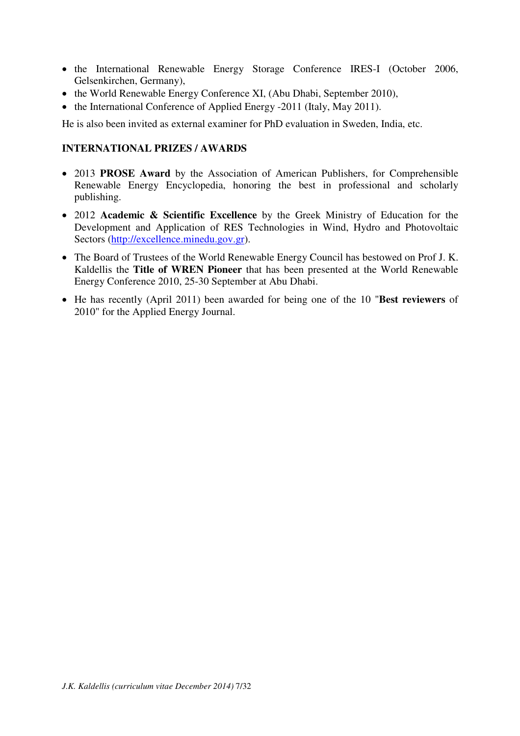- the International Renewable Energy Storage Conference IRES-I (October 2006, Gelsenkirchen, Germany),
- the World Renewable Energy Conference XI, (Abu Dhabi, September 2010),
- the International Conference of Applied Energy -2011 (Italy, May 2011).

He is also been invited as external examiner for PhD evaluation in Sweden, India, etc.

## **INTERNATIONAL PRIZES / AWARDS**

- 2013 **PROSE Award** by the Association of American Publishers, for Comprehensible Renewable Energy Encyclopedia, honoring the best in professional and scholarly publishing.
- 2012 **Academic & Scientific Excellence** by the Greek Ministry of Education for the Development and Application of RES Technologies in Wind, Hydro and Photovoltaic Sectors (http://excellence.minedu.gov.gr).
- The Board of Trustees of the World Renewable Energy Council has bestowed on Prof J. K. Kaldellis the **Title of WREN Pioneer** that has been presented at the World Renewable Energy Conference 2010, 25-30 September at Abu Dhabi.
- He has recently (April 2011) been awarded for being one of the 10 "**Best reviewers** of 2010" for the Applied Energy Journal.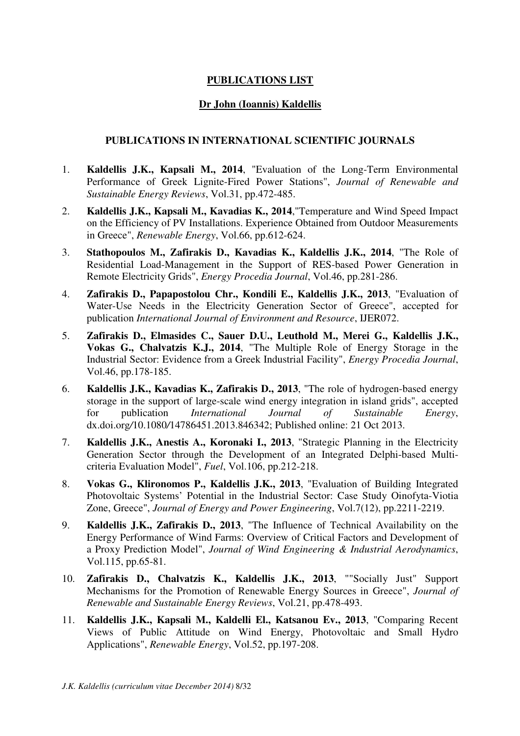# **PUBLICATIONS LIST**

# **Dr John (Ioannis) Kaldellis**

## **PUBLICATIONS IN INTERNATIONAL SCIENTIFIC JOURNALS**

- 1. **Kaldellis J.K., Kapsali M., 2014**, "Evaluation of the Long-Term Environmental Performance of Greek Lignite-Fired Power Stations", *Journal of Renewable and Sustainable Energy Reviews*, Vol.31, pp.472-485.
- 2. **Kaldellis J.K., Kapsali M., Kavadias K., 2014**,"Temperature and Wind Speed Impact on the Efficiency of PV Installations. Experience Obtained from Outdoor Measurements in Greece", *Renewable Energy*, Vol.66, pp.612-624.
- 3. **Stathopoulos M., Zafirakis D., Kavadias K., Kaldellis J.K., 2014**, "The Role of Residential Load-Management in the Support of RES-based Power Generation in Remote Electricity Grids", *Energy Procedia Journal*, Vol.46, pp.281-286.
- 4. **Zafirakis D., Papapostolou Chr., Kondili E., Kaldellis J.K., 2013**, "Evaluation of Water-Use Needs in the Electricity Generation Sector of Greece", accepted for publication *International Journal of Environment and Resource*, IJER072.
- 5. **Zafirakis D., Elmasides C., Sauer D.U., Leuthold M., Merei G., Kaldellis J.K., Vokas G., Chalvatzis K.J., 2014**, "The Multiple Role of Energy Storage in the Industrial Sector: Evidence from a Greek Industrial Facility", *Energy Procedia Journal*, Vol.46, pp.178-185.
- 6. **Kaldellis J.K., Kavadias K., Zafirakis D., 2013**, "The role of hydrogen-based energy storage in the support of large-scale wind energy integration in island grids", accepted for publication *International Journal of Sustainable Energy*, dx.doi.org*/*10.1080*/*14786451.2013.846342; Published online: 21 Oct 2013.
- 7. **Kaldellis J.K., Anestis A., Koronaki I., 2013**, "Strategic Planning in the Electricity Generation Sector through the Development of an Integrated Delphi-based Multicriteria Evaluation Model", *Fuel*, Vol.106, pp.212-218.
- 8. **Vokas G., Klironomos P., Kaldellis J.K., 2013**, "Evaluation of Building Integrated Photovoltaic Systems' Potential in the Industrial Sector: Case Study Oinofyta-Viotia Zone, Greece", *Journal of Energy and Power Engineering*, Vol.7(12), pp.2211-2219.
- 9. **Kaldellis J.K., Zafirakis D., 2013**, "The Influence of Technical Availability on the Energy Performance of Wind Farms: Overview of Critical Factors and Development of a Proxy Prediction Model", *Journal of Wind Engineering & Industrial Aerodynamics*, Vol.115, pp.65-81.
- 10. **Zafirakis D., Chalvatzis K., Kaldellis J.K., 2013**, ""Socially Just" Support Mechanisms for the Promotion of Renewable Energy Sources in Greece", *Journal of Renewable and Sustainable Energy Reviews*, Vol.21, pp.478-493.
- 11. **Kaldellis J.K., Kapsali M., Kaldelli El., Katsanou Ev., 2013**, "Comparing Recent Views of Public Attitude on Wind Energy, Photovoltaic and Small Hydro Applications", *Renewable Energy*, Vol.52, pp.197-208.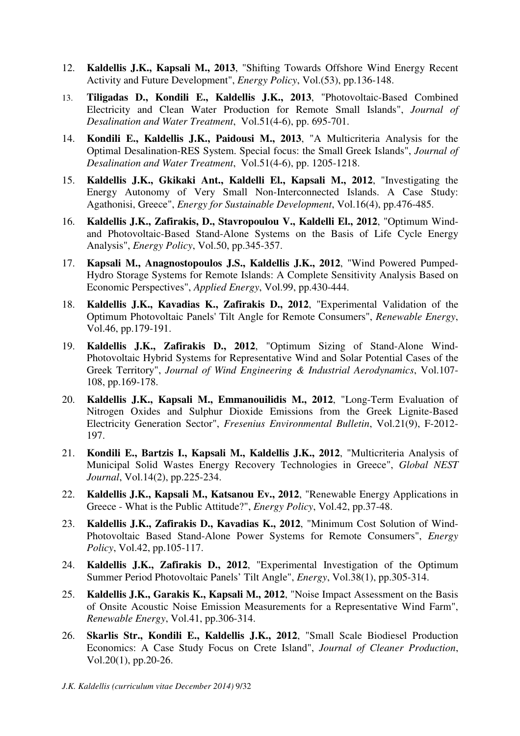- 12. **Kaldellis J.K., Kapsali M., 2013**, "Shifting Towards Offshore Wind Energy Recent Activity and Future Development", *Energy Policy*, Vol.(53), pp.136-148.
- 13. **Tiligadas D., Kondili E., Kaldellis J.K., 2013**, "Photovoltaic-Based Combined Electricity and Clean Water Production for Remote Small Islands", *Journal of Desalination and Water Treatment*, Vol.51(4-6), pp. 695-701.
- 14. **Kondili E., Kaldellis J.K., Paidousi M., 2013**, "A Multicriteria Analysis for the Optimal Desalination-RES System. Special focus: the Small Greek Islands", *Journal of Desalination and Water Treatment*, Vol.51(4-6), pp. 1205-1218.
- 15. **Kaldellis J.K., Gkikaki Ant., Kaldelli El., Kapsali M., 2012**, "Investigating the Energy Autonomy of Very Small Non-Interconnected Islands. A Case Study: Agathonisi, Greece", *Energy for Sustainable Development*, Vol.16(4), pp.476-485.
- 16. **Kaldellis J.K., Zafirakis, D., Stavropoulou V., Kaldelli El., 2012**, "Optimum Windand Photovoltaic-Based Stand-Alone Systems on the Basis of Life Cycle Energy Analysis", *Energy Policy*, Vol.50, pp.345-357.
- 17. **Kapsali M., Anagnostopoulos J.S., Kaldellis J.K., 2012**, "Wind Powered Pumped-Hydro Storage Systems for Remote Islands: A Complete Sensitivity Analysis Based on Economic Perspectives", *Applied Energy*, Vol.99, pp.430-444.
- 18. **Kaldellis J.K., Kavadias K., Zafirakis D., 2012**, "Experimental Validation of the Optimum Photovoltaic Panels' Tilt Angle for Remote Consumers", *Renewable Energy*, Vol.46, pp.179-191.
- 19. **Kaldellis J.K., Zafirakis D., 2012**, "Optimum Sizing of Stand-Alone Wind-Photovoltaic Hybrid Systems for Representative Wind and Solar Potential Cases of the Greek Territory", *Journal of Wind Engineering & Industrial Aerodynamics*, Vol.107- 108, pp.169-178.
- 20. **Kaldellis J.K., Kapsali M., Emmanouilidis M., 2012**, "Long-Term Evaluation of Nitrogen Oxides and Sulphur Dioxide Emissions from the Greek Lignite-Based Electricity Generation Sector", *Fresenius Environmental Bulletin*, Vol.21(9), F-2012- 197.
- 21. **Kondili E., Bartzis I., Kapsali M., Kaldellis J.K., 2012**, "Multicriteria Analysis of Municipal Solid Wastes Energy Recovery Technologies in Greece", *Global NEST Journal*, Vol.14(2), pp.225-234.
- 22. **Kaldellis J.K., Kapsali M., Katsanou Ev., 2012**, "Renewable Energy Applications in Greece - What is the Public Attitude?", *Energy Policy*, Vol.42, pp.37-48.
- 23. **Kaldellis J.K., Zafirakis D., Kavadias K., 2012**, "Minimum Cost Solution of Wind-Photovoltaic Based Stand-Alone Power Systems for Remote Consumers", *Energy Policy*, Vol.42, pp.105-117.
- 24. **Kaldellis J.K., Zafirakis D., 2012**, "Experimental Investigation of the Optimum Summer Period Photovoltaic Panels' Tilt Angle", *Energy*, Vol.38(1), pp.305-314.
- 25. **Kaldellis J.K., Garakis K., Kapsali M., 2012**, "Noise Impact Assessment on the Basis of Onsite Acoustic Noise Emission Measurements for a Representative Wind Farm", *Renewable Energy*, Vol.41, pp.306-314.
- 26. **Skarlis Str., Kondili E., Kaldellis J.K., 2012**, "Small Scale Biodiesel Production Economics: A Case Study Focus on Crete Island", *Journal of Cleaner Production*, Vol.20(1), pp.20-26.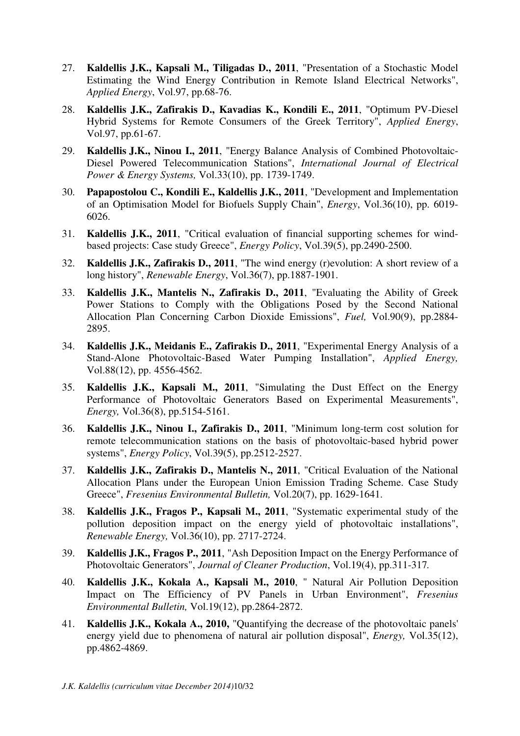- 27. **Kaldellis J.K., Kapsali M., Tiligadas D., 2011**, "Presentation of a Stochastic Model Estimating the Wind Energy Contribution in Remote Island Electrical Networks", *Applied Energy*, Vol.97, pp.68-76.
- 28. **Kaldellis J.K., Zafirakis D., Kavadias K., Kondili E., 2011**, "Optimum PV-Diesel Hybrid Systems for Remote Consumers of the Greek Territory", *Applied Energy*, Vol.97, pp.61-67.
- 29. **Kaldellis J.K., Ninou I., 2011**, "Energy Balance Analysis of Combined Photovoltaic-Diesel Powered Telecommunication Stations", *International Journal of Electrical Power & Energy Systems,* Vol.33(10), pp. 1739-1749.
- 30. **Papapostolou C., Kondili E., Kaldellis J.K., 2011**, "Development and Implementation of an Optimisation Model for Biofuels Supply Chain", *Energy*, Vol.36(10), pp. 6019- 6026.
- 31. **Kaldellis J.K., 2011**, "Critical evaluation of financial supporting schemes for windbased projects: Case study Greece", *Energy Policy*, Vol.39(5), pp.2490-2500.
- 32. **Kaldellis J.K., Zafirakis D., 2011**, "The wind energy (r)evolution: A short review of a long history", *Renewable Energy*, Vol.36(7), pp.1887-1901.
- 33. **Kaldellis J.K., Mantelis N., Zafirakis D., 2011**, "Evaluating the Ability of Greek Power Stations to Comply with the Obligations Posed by the Second National Allocation Plan Concerning Carbon Dioxide Emissions", *Fuel,* Vol.90(9), pp.2884- 2895.
- 34. **Kaldellis J.K., Meidanis E., Zafirakis D., 2011**, "Experimental Energy Analysis of a Stand-Alone Photovoltaic-Based Water Pumping Installation", *Applied Energy,*  Vol.88(12), pp. 4556-4562.
- 35. **Kaldellis J.K., Kapsali M., 2011**, "Simulating the Dust Effect on the Energy Performance of Photovoltaic Generators Based on Experimental Measurements", *Energy,* Vol.36(8), pp.5154-5161.
- 36. **Kaldellis J.K., Ninou I., Zafirakis D., 2011**, "Minimum long-term cost solution for remote telecommunication stations on the basis of photovoltaic-based hybrid power systems", *Energy Policy*, Vol.39(5), pp.2512-2527.
- 37. **Kaldellis J.K., Zafirakis D., Mantelis N., 2011**, "Critical Evaluation of the National Allocation Plans under the European Union Emission Trading Scheme. Case Study Greece", *Fresenius Environmental Bulletin,* Vol.20(7), pp. 1629-1641.
- 38. **Kaldellis J.K., Fragos P., Kapsali M., 2011**, "Systematic experimental study of the pollution deposition impact on the energy yield of photovoltaic installations", *Renewable Energy,* Vol.36(10), pp. 2717-2724.
- 39. **Kaldellis J.K., Fragos P., 2011**, "Ash Deposition Impact on the Energy Performance of Photovoltaic Generators", *Journal of Cleaner Production*, Vol.19(4), pp.311-317*.*
- 40. **Kaldellis J.K., Kokala A., Kapsali M., 2010**, " Natural Air Pollution Deposition Impact on The Efficiency of PV Panels in Urban Environment", *Fresenius Environmental Bulletin,* Vol.19(12), pp.2864-2872.
- 41. **Kaldellis J.K., Kokala A., 2010,** "Quantifying the decrease of the photovoltaic panels' energy yield due to phenomena of natural air pollution disposal", *Energy,* Vol.35(12), pp.4862-4869.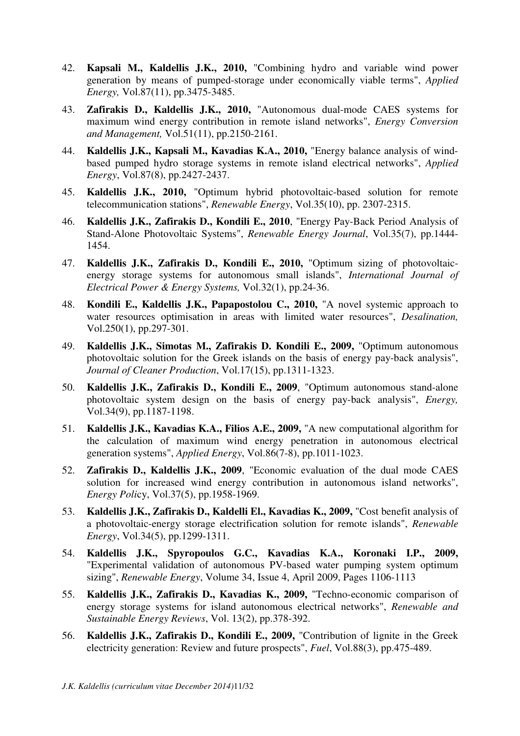- 42. **Kapsali M., Kaldellis J.K., 2010,** "Combining hydro and variable wind power generation by means of pumped-storage under economically viable terms", *Applied Energy,* Vol.87(11), pp.3475-3485.
- 43. **Zafirakis D., Kaldellis J.K., 2010,** "Autonomous dual-mode CAES systems for maximum wind energy contribution in remote island networks", *Energy Conversion and Management,* Vol.51(11), pp.2150-2161.
- 44. **Kaldellis J.K., Kapsali M., Kavadias K.A., 2010,** "Energy balance analysis of windbased pumped hydro storage systems in remote island electrical networks", *Applied Energy*, Vol.87(8), pp.2427-2437.
- 45. **Kaldellis J.K., 2010,** "Optimum hybrid photovoltaic-based solution for remote telecommunication stations", *Renewable Energy*, Vol.35(10), pp. 2307-2315.
- 46. **Kaldellis J.K., Zafirakis D., Kondili E., 2010**, "Energy Pay-Back Period Analysis of Stand-Alone Photovoltaic Systems", *Renewable Energy Journal*, Vol.35(7), pp.1444- 1454.
- 47. **Kaldellis J.K., Zafirakis D., Kondili E., 2010,** "Optimum sizing of photovoltaicenergy storage systems for autonomous small islands", *International Journal of Electrical Power & Energy Systems,* Vol.32(1), pp.24-36.
- 48. **Kondili E., Kaldellis J.K., Papapostolou C., 2010,** "A novel systemic approach to water resources optimisation in areas with limited water resources", *Desalination,*  Vol.250(1), pp.297-301.
- 49. **Kaldellis J.K., Simotas M., Zafirakis D. Kondili E., 2009,** "Optimum autonomous photovoltaic solution for the Greek islands on the basis of energy pay-back analysis", *Journal of Cleaner Production*, Vol.17(15), pp.1311-1323.
- 50. **Kaldellis J.K., Zafirakis D., Kondili E., 2009**, "Optimum autonomous stand-alone photovoltaic system design on the basis of energy pay-back analysis", *Energy,* Vol.34(9), pp.1187-1198.
- 51. **Kaldellis J.K., Kavadias K.A., Filios A.E., 2009,** "A new computational algorithm for the calculation of maximum wind energy penetration in autonomous electrical generation systems", *Applied Energy*, Vol.86(7-8), pp.1011-1023.
- 52. **Zafirakis D., Kaldellis J.K., 2009**, "Economic evaluation of the dual mode CAES solution for increased wind energy contribution in autonomous island networks", *Energy Poli*cy, Vol.37(5), pp.1958-1969.
- 53. **Kaldellis J.K., Zafirakis D., Kaldelli El., Kavadias K., 2009,** "Cost benefit analysis of a photovoltaic-energy storage electrification solution for remote islands", *Renewable Energy*, Vol.34(5), pp.1299-1311.
- 54. **Kaldellis J.K., Spyropoulos G.C., Kavadias K.A., Koronaki I.P., 2009,**  "Experimental validation of autonomous PV-based water pumping system optimum sizing", *Renewable Energy*, Volume 34, Issue 4, April 2009, Pages 1106-1113
- 55. **Kaldellis J.K., Zafirakis D., Kavadias K., 2009,** "Techno-economic comparison of energy storage systems for island autonomous electrical networks", *Renewable and Sustainable Energy Reviews*, Vol. 13(2), pp.378-392.
- 56. **Kaldellis J.K., Zafirakis D., Kondili E., 2009,** "Contribution of lignite in the Greek electricity generation: Review and future prospects", *Fuel*, Vol.88(3), pp.475-489.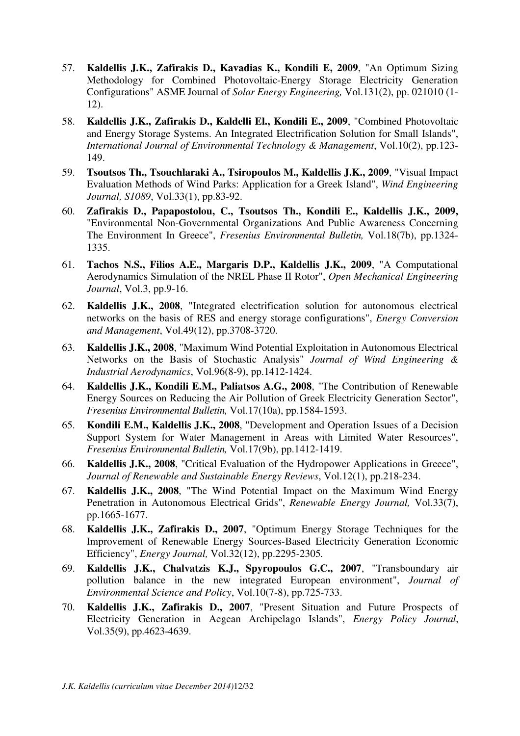- 57. **Kaldellis J.K., Zafirakis D., Kavadias K., Kondili E, 2009**, "An Optimum Sizing Methodology for Combined Photovoltaic-Energy Storage Electricity Generation Configurations" ASME Journal of *Solar Energy Engineering,* Vol.131(2), pp. 021010 (1- 12).
- 58. **Kaldellis J.K., Zafirakis D., Kaldelli El., Kondili E., 2009**, "Combined Photovoltaic and Energy Storage Systems. An Integrated Electrification Solution for Small Islands", *International Journal of Environmental Technology & Management*, Vol.10(2), pp.123- 149.
- 59. **Tsoutsos Th., Tsouchlaraki A., Tsiropoulos M., Kaldellis J.K., 2009**, "Visual Impact Evaluation Methods of Wind Parks: Application for a Greek Island", *Wind Engineering Journal, S1089*, Vol.33(1), pp.83-92.
- 60. **Zafirakis D., Papapostolou, C., Tsoutsos Th., Kondili E., Kaldellis J.K., 2009,**  "Environmental Non-Governmental Organizations And Public Awareness Concerning The Environment In Greece", *Fresenius Environmental Bulletin,* Vol.18(7b), pp.1324- 1335.
- 61. **Tachos N.S., Filios A.E., Margaris D.P., Kaldellis J.K., 2009**, "A Computational Aerodynamics Simulation of the NREL Phase II Rotor", *Open Mechanical Engineering Journal*, Vol.3, pp.9-16.
- 62. **Kaldellis J.K., 2008**, "Integrated electrification solution for autonomous electrical networks on the basis of RES and energy storage configurations", *Energy Conversion and Management*, Vol.49(12), pp.3708-3720.
- 63. **Kaldellis J.K., 2008**, "Maximum Wind Potential Exploitation in Autonomous Electrical Networks on the Basis of Stochastic Analysis" *Journal of Wind Engineering & Industrial Aerodynamics*, Vol.96(8-9), pp.1412-1424.
- 64. **Kaldellis J.K., Kondili E.M., Paliatsos A.G., 2008**, "The Contribution of Renewable Energy Sources on Reducing the Air Pollution of Greek Electricity Generation Sector", *Fresenius Environmental Bulletin,* Vol.17(10a), pp.1584-1593.
- 65. **Kondili E.M., Kaldellis J.K., 2008**, "Development and Operation Issues of a Decision Support System for Water Management in Areas with Limited Water Resources", *Fresenius Environmental Bulletin,* Vol.17(9b), pp.1412-1419.
- 66. **Kaldellis J.K., 2008**, "Critical Evaluation of the Hydropower Applications in Greece", *Journal of Renewable and Sustainable Energy Reviews*, Vol.12(1), pp.218-234.
- 67. **Kaldellis J.K., 2008**, "The Wind Potential Impact on the Maximum Wind Energy Penetration in Autonomous Electrical Grids", *Renewable Energy Journal,* Vol.33(7), pp.1665-1677.
- 68. **Kaldellis J.K., Zafirakis D., 2007**, "Optimum Energy Storage Techniques for the Improvement of Renewable Energy Sources-Based Electricity Generation Economic Efficiency", *Energy Journal,* Vol.32(12), pp.2295-2305*.*
- 69. **Kaldellis J.K., Chalvatzis K.J., Spyropoulos G.C., 2007**, "Transboundary air pollution balance in the new integrated European environment", *Journal of Environmental Science and Policy*, Vol.10(7-8), pp.725-733.
- 70. **Kaldellis J.K., Zafirakis D., 2007**, "Present Situation and Future Prospects of Electricity Generation in Aegean Archipelago Islands", *Energy Policy Journal*, Vol.35(9), pp.4623-4639.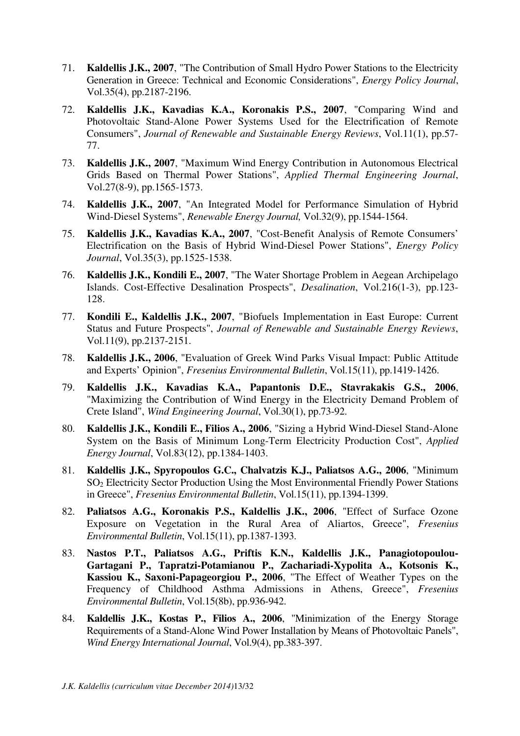- 71. **Kaldellis J.K., 2007**, "The Contribution of Small Hydro Power Stations to the Electricity Generation in Greece: Technical and Economic Considerations", *Energy Policy Journal*, Vol.35(4), pp.2187-2196.
- 72. **Kaldellis J.K., Kavadias K.A., Koronakis P.S., 2007**, "Comparing Wind and Photovoltaic Stand-Alone Power Systems Used for the Electrification of Remote Consumers", *Journal of Renewable and Sustainable Energy Reviews*, Vol.11(1), pp.57- 77.
- 73. **Kaldellis J.K., 2007**, "Maximum Wind Energy Contribution in Autonomous Electrical Grids Based on Thermal Power Stations", *Applied Thermal Engineering Journal*, Vol.27(8-9), pp.1565-1573.
- 74. **Kaldellis J.K., 2007**, "An Integrated Model for Performance Simulation of Hybrid Wind-Diesel Systems", *Renewable Energy Journal,* Vol.32(9), pp.1544-1564.
- 75. **Kaldellis J.K., Kavadias K.A., 2007**, "Cost-Benefit Analysis of Remote Consumers' Electrification on the Basis of Hybrid Wind-Diesel Power Stations", *Energy Policy Journal*, Vol.35(3), pp.1525-1538.
- 76. **Kaldellis J.K., Kondili E., 2007**, "The Water Shortage Problem in Aegean Archipelago Islands. Cost-Effective Desalination Prospects", *Desalination*, Vol.216(1-3), pp.123- 128.
- 77. **Kondili E., Kaldellis J.K., 2007**, "Biofuels Implementation in East Europe: Current Status and Future Prospects", *Journal of Renewable and Sustainable Energy Reviews*, Vol.11(9), pp.2137-2151.
- 78. **Kaldellis J.K., 2006**, "Evaluation of Greek Wind Parks Visual Impact: Public Attitude and Experts' Opinion", *Fresenius Environmental Bulletin*, Vol.15(11), pp.1419-1426.
- 79. **Kaldellis J.K., Kavadias K.A., Papantonis D.E., Stavrakakis G.S., 2006**, "Maximizing the Contribution of Wind Energy in the Electricity Demand Problem of Crete Island", *Wind Engineering Journal*, Vol.30(1), pp.73-92.
- 80. **Kaldellis J.K., Kondili E., Filios A., 2006**, "Sizing a Hybrid Wind-Diesel Stand-Alone System on the Basis of Minimum Long-Term Electricity Production Cost", *Applied Energy Journal*, Vol.83(12), pp.1384-1403.
- 81. **Kaldellis J.K., Spyropoulos G.C., Chalvatzis K.J., Paliatsos A.G., 2006**, "Minimum SO2 Electricity Sector Production Using the Most Environmental Friendly Power Stations in Greece", *Fresenius Environmental Bulletin*, Vol.15(11), pp.1394-1399.
- 82. **Paliatsos A.G., Koronakis P.S., Kaldellis J.K., 2006**, "Effect of Surface Ozone Exposure on Vegetation in the Rural Area of Aliartos, Greece", *Fresenius Environmental Bulletin*, Vol.15(11), pp.1387-1393.
- 83. **Nastos P.T., Paliatsos A.G., Priftis K.N., Kaldellis J.K., Panagiotopoulou-Gartagani P., Tapratzi-Potamianou P., Zachariadi-Xypolita A., Kotsonis K., Kassiou K., Saxoni-Papageorgiou P., 2006**, "The Effect of Weather Types on the Frequency of Childhood Asthma Admissions in Athens, Greece", *Fresenius Environmental Bulletin*, Vol.15(8b), pp.936-942.
- 84. **Kaldellis J.K., Kostas P., Filios A., 2006**, "Minimization of the Energy Storage Requirements of a Stand-Alone Wind Power Installation by Means of Photovoltaic Panels", *Wind Energy International Journal*, Vol.9(4), pp.383-397.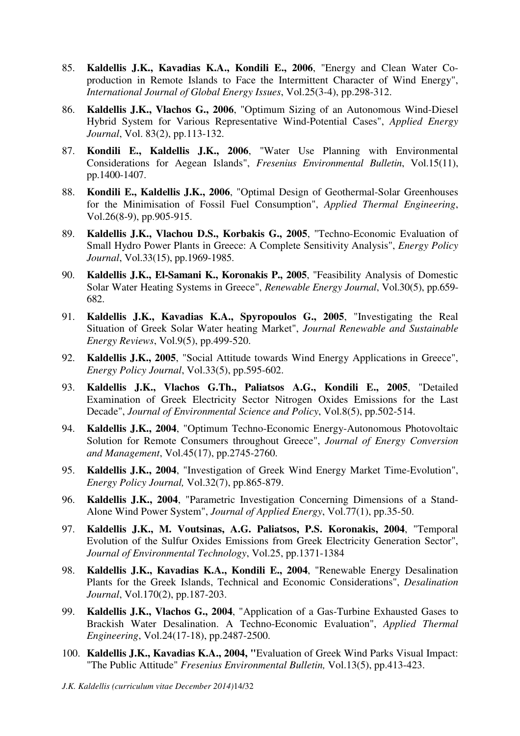- 85. **Kaldellis J.K., Kavadias K.A., Kondili E., 2006**, "Energy and Clean Water Coproduction in Remote Islands to Face the Intermittent Character of Wind Energy", *International Journal of Global Energy Issues*, Vol.25(3-4), pp.298-312.
- 86. **Kaldellis J.K., Vlachos G., 2006**, "Optimum Sizing of an Autonomous Wind-Diesel Hybrid System for Various Representative Wind-Potential Cases", *Applied Energy Journal*, Vol. 83(2), pp.113-132.
- 87. **Kondili E., Kaldellis J.K., 2006**, "Water Use Planning with Environmental Considerations for Aegean Islands", *Fresenius Environmental Bulletin*, Vol.15(11), pp.1400-1407.
- 88. **Kondili E., Kaldellis J.K., 2006**, "Optimal Design of Geothermal-Solar Greenhouses for the Minimisation of Fossil Fuel Consumption", *Applied Thermal Engineering*, Vol.26(8-9), pp.905-915.
- 89. **Kaldellis J.K., Vlachou D.S., Korbakis G., 2005**, "Techno-Economic Evaluation of Small Hydro Power Plants in Greece: A Complete Sensitivity Analysis", *Energy Policy Journal*, Vol.33(15), pp.1969-1985.
- 90. **Kaldellis J.K., El-Samani K., Koronakis P., 2005**, "Feasibility Analysis of Domestic Solar Water Heating Systems in Greece", *Renewable Energy Journal*, Vol.30(5), pp.659- 682.
- 91. **Kaldellis J.K., Kavadias K.A., Spyropoulos G., 2005**, "Investigating the Real Situation of Greek Solar Water heating Market", *Journal Renewable and Sustainable Energy Reviews*, Vol.9(5), pp.499-520.
- 92. **Kaldellis J.K., 2005**, "Social Attitude towards Wind Energy Applications in Greece", *Energy Policy Journal*, Vol.33(5), pp.595-602.
- 93. **Kaldellis J.K., Vlachos G.Th., Paliatsos A.G., Kondili E., 2005**, "Detailed Examination of Greek Electricity Sector Nitrogen Oxides Emissions for the Last Decade", *Journal of Environmental Science and Policy*, Vol.8(5), pp.502-514.
- 94. **Kaldellis J.K., 2004**, "Optimum Techno-Economic Energy-Autonomous Photovoltaic Solution for Remote Consumers throughout Greece", *Journal of Energy Conversion and Management*, Vol.45(17), pp.2745-2760.
- 95. **Kaldellis J.K., 2004**, "Investigation of Greek Wind Energy Market Time-Evolution", *Energy Policy Journal,* Vol.32(7), pp.865-879.
- 96. **Kaldellis J.K., 2004**, "Parametric Investigation Concerning Dimensions of a Stand-Alone Wind Power System", *Journal of Applied Energy*, Vol.77(1), pp.35-50.
- 97. **Kaldellis J.K., M. Voutsinas, A.G. Paliatsos, P.S. Koronakis, 2004**, "Temporal Evolution of the Sulfur Oxides Emissions from Greek Electricity Generation Sector", *Journal of Environmental Technology*, Vol.25, pp.1371-1384
- 98. **Kaldellis J.K., Kavadias K.A., Kondili E., 2004**, "Renewable Energy Desalination Plants for the Greek Islands, Technical and Economic Considerations", *Desalination Journal*, Vol.170(2), pp.187-203.
- 99. **Kaldellis J.K., Vlachos G., 2004**, "Application of a Gas-Turbine Exhausted Gases to Brackish Water Desalination. A Techno-Economic Evaluation", *Applied Thermal Engineering*, Vol.24(17-18), pp.2487-2500.
- 100. **Kaldellis J.K., Kavadias K.A., 2004, "**Evaluation of Greek Wind Parks Visual Impact: "The Public Attitude" *Fresenius Environmental Bulletin,* Vol.13(5), pp.413-423.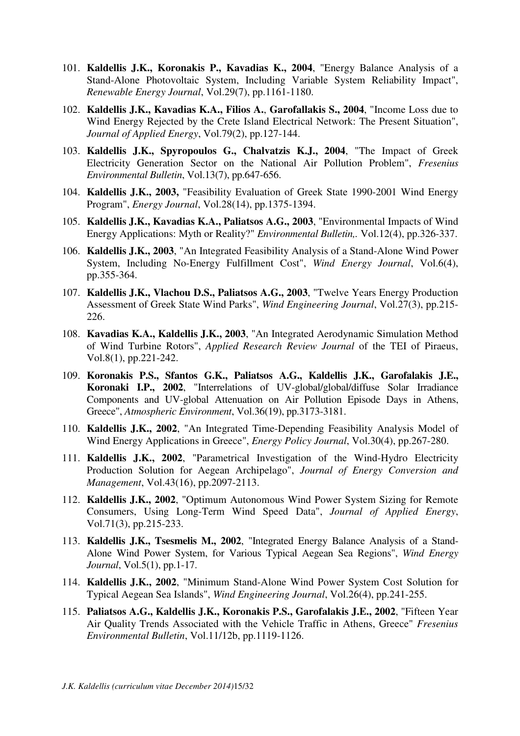- 101. **Kaldellis J.K., Koronakis P., Kavadias K., 2004**, "Energy Balance Analysis of a Stand-Alone Photovoltaic System, Including Variable System Reliability Impact", *Renewable Energy Journal*, Vol.29(7), pp.1161-1180.
- 102. **Kaldellis J.K., Kavadias K.A., Filios A.**, **Garofallakis S., 2004**, "Income Loss due to Wind Energy Rejected by the Crete Island Electrical Network: The Present Situation", *Journal of Applied Energy*, Vol.79(2), pp.127-144.
- 103. **Kaldellis J.K., Spyropoulos G., Chalvatzis K.J., 2004**, "The Impact of Greek Electricity Generation Sector on the National Air Pollution Problem", *Fresenius Environmental Bulletin*, Vol.13(7), pp.647-656.
- 104. **Kaldellis J.K., 2003,** "Feasibility Evaluation of Greek State 1990-2001 Wind Energy Program", *Energy Journal*, Vol.28(14), pp.1375-1394.
- 105. **Kaldellis J.K., Kavadias K.A., Paliatsos A.G., 2003**, "Environmental Impacts of Wind Energy Applications: Myth or Reality?" *Environmental Bulletin,.* Vol.12(4), pp.326-337.
- 106. **Kaldellis J.K., 2003**, "An Integrated Feasibility Analysis of a Stand-Alone Wind Power System, Including No-Energy Fulfillment Cost", *Wind Energy Journal*, Vol.6(4), pp.355-364.
- 107. **Kaldellis J.K., Vlachou D.S., Paliatsos A.G., 2003**, "Twelve Years Energy Production Assessment of Greek State Wind Parks", *Wind Engineering Journal*, Vol.27(3), pp.215- 226.
- 108. **Kavadias K.A., Kaldellis J.K., 2003**, "An Integrated Aerodynamic Simulation Method of Wind Turbine Rotors", *Applied Research Review Journal* of the TEI of Piraeus, Vol.8(1), pp.221-242.
- 109. **Koronakis P.S., Sfantos G.K., Paliatsos A.G., Kaldellis J.K., Garofalakis J.E., Koronaki I.P., 2002**, "Interrelations of UV-global/global/diffuse Solar Irradiance Components and UV-global Attenuation on Air Pollution Episode Days in Athens, Greece", *Atmospheric Environment*, Vol.36(19), pp.3173-3181.
- 110. **Kaldellis J.K., 2002**, "An Integrated Time-Depending Feasibility Analysis Model of Wind Energy Applications in Greece", *Energy Policy Journal*, Vol.30(4), pp.267-280.
- 111. **Kaldellis J.K., 2002**, "Parametrical Investigation of the Wind-Hydro Electricity Production Solution for Aegean Archipelago", *Journal of Energy Conversion and Management*, Vol.43(16), pp.2097-2113.
- 112. **Kaldellis J.K., 2002**, "Optimum Autonomous Wind Power System Sizing for Remote Consumers, Using Long-Term Wind Speed Data", *Journal of Applied Energy*, Vol.71(3), pp.215-233.
- 113. **Kaldellis J.K., Tsesmelis M., 2002**, "Integrated Energy Balance Analysis οf a Stand-Alone Wind Power System, for Various Typical Aegean Sea Regions", *Wind Energy Journal*, Vol.5(1), pp.1-17.
- 114. **Kaldellis J.K., 2002**, "Minimum Stand-Alone Wind Power System Cost Solution for Typical Aegean Sea Islands", *Wind Engineering Journal*, Vol.26(4), pp.241-255.
- 115. **Paliatsos A.G., Kaldellis J.K., Koronakis P.S., Garofalakis J.E., 2002**, "Fifteen Year Air Quality Trends Associated with the Vehicle Traffic in Athens, Greece" *Fresenius Environmental Bulletin*, Vol.11/12b, pp.1119-1126.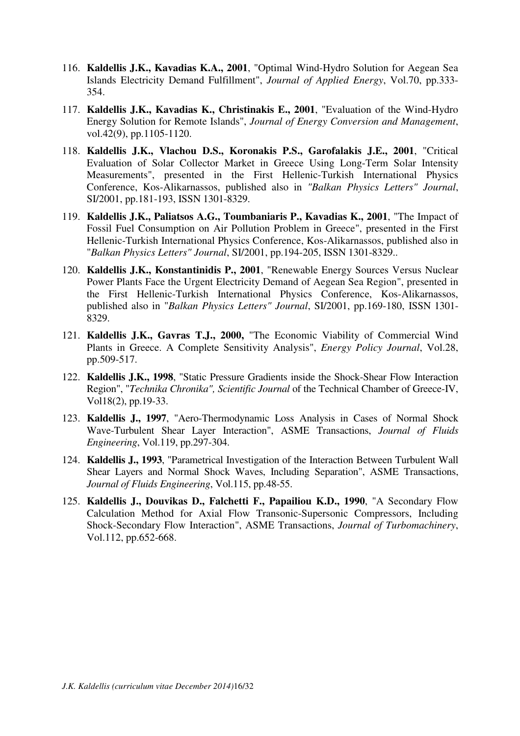- 116. **Kaldellis J.K., Kavadias K.A., 2001**, "Optimal Wind-Hydro Solution for Aegean Sea Islands Electricity Demand Fulfillment", *Journal of Applied Energy*, Vol.70, pp.333- 354.
- 117. **Kaldellis J.K., Kavadias K., Christinakis E., 2001**, "Evaluation of the Wind-Hydro Energy Solution for Remote Islands", *Journal of Energy Conversion and Management*, vol.42(9), pp.1105-1120.
- 118. **Kaldellis J.K., Vlachou D.S., Koronakis P.S., Garofalakis J.E., 2001**, "Critical Evaluation of Solar Collector Market in Greece Using Long-Term Solar Intensity Measurements", presented in the First Hellenic-Turkish International Physics Conference, Kos-Alikarnassos, published also in *"Balkan Physics Letters" Journal*, SI/2001, pp.181-193, ISSN 1301-8329.
- 119. **Kaldellis J.K., Paliatsos A.G., Toumbaniaris P., Kavadias K., 2001**, "The Impact of Fossil Fuel Consumption on Air Pollution Problem in Greece", presented in the First Hellenic-Turkish International Physics Conference, Kos-Alikarnassos, published also in "*Balkan Physics Letters" Journal*, SI/2001, pp.194-205, ISSN 1301-8329..
- 120. **Kaldellis J.K., Konstantinidis P., 2001**, "Renewable Energy Sources Versus Nuclear Power Plants Face the Urgent Electricity Demand of Aegean Sea Region", presented in the First Hellenic-Turkish International Physics Conference, Kos-Alikarnassos, published also in "*Balkan Physics Letters" Journal*, SI/2001, pp.169-180, ISSN 1301- 8329.
- 121. **Kaldellis J.K., Gavras T.J., 2000,** "The Economic Viability of Commercial Wind Plants in Greece. A Complete Sensitivity Analysis", *Energy Policy Journal*, Vol.28, pp.509-517.
- 122. **Kaldellis J.K., 1998**, "Static Pressure Gradients inside the Shock-Shear Flow Interaction Region", "*Technika Chronika", Scientific Journal* of the Technical Chamber of Greece-IV, Vol18(2), pp.19-33.
- 123. **Kaldellis J., 1997**, "Aero-Thermodynamic Loss Analysis in Cases of Normal Shock Wave-Turbulent Shear Layer Interaction", ASME Transactions, *Journal of Fluids Engineering*, Vol.119, pp.297-304.
- 124. **Kaldellis J., 1993**, "Parametrical Investigation of the Interaction Between Turbulent Wall Shear Layers and Normal Shock Waves, Including Separation", ASME Transactions, *Journal of Fluids Engineering*, Vol.115, pp.48-55.
- 125. **Kaldellis J., Douvikas D., Falchetti F., Papailiou K.D., 1990**, "A Secondary Flow Calculation Method for Axial Flow Transonic-Supersonic Compressors, Including Shock-Secondary Flow Interaction", ASME Transactions, *Journal of Turbomachinery*, Vol.112, pp.652-668.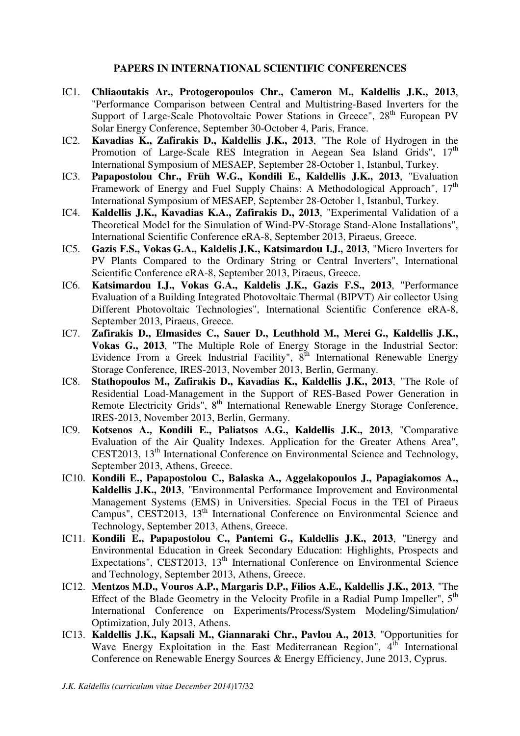#### **PAPERS IN INTERNATIONAL SCIENTIFIC CONFERENCES**

- IC1. **Chliaoutakis Ar., Protogeropoulos Chr., Cameron M., Kaldellis J.K., 2013**, "Performance Comparison between Central and Multistring-Based Inverters for the Support of Large-Scale Photovoltaic Power Stations in Greece", 28<sup>th</sup> European PV Solar Energy Conference, September 30-October 4, Paris, France.
- IC2. **Kavadias K., Zafirakis D., Kaldellis J.K., 2013**, "The Role of Hydrogen in the Promotion of Large-Scale RES Integration in Aegean Sea Island Grids",  $17<sup>th</sup>$ International Symposium of MESAEP, September 28-October 1, Istanbul, Turkey.
- IC3. **Papapostolou Chr., Früh W.G., Kondili E., Kaldellis J.K., 2013**, "Evaluation Framework of Energy and Fuel Supply Chains: A Methodological Approach",  $17<sup>th</sup>$ International Symposium of MESAEP, September 28-October 1, Istanbul, Turkey.
- IC4. **Kaldellis J.K., Kavadias K.A., Zafirakis D., 2013**, "Experimental Validation of a Theoretical Model for the Simulation of Wind-PV-Storage Stand-Alone Installations", International Scientific Conference eRA-8, September 2013, Piraeus, Greece.
- IC5. **Gazis F.S., Vokas G.Α., Kaldelis J.K., Katsimardou I.J., 2013**, "Micro Inverters for PV Plants Compared to the Ordinary String or Central Inverters", International Scientific Conference eRA-8, September 2013, Piraeus, Greece.
- IC6. **Katsimardou I.J., Vokas G.Α., Kaldelis J.K., Gazis F.S., 2013**, "Performance Evaluation of a Building Integrated Photovoltaic Thermal (BIPVT) Air collector Using Different Photovoltaic Technologies", International Scientific Conference eRA-8, September 2013, Piraeus, Greece.
- IC7. **Zafirakis D., Elmasides C., Sauer D., Leuthhold M., Merei G., Kaldellis J.K., Vokas G., 2013**, "The Multiple Role of Energy Storage in the Industrial Sector: Evidence From a Greek Industrial Facility",  $8<sup>th</sup>$  International Renewable Energy Storage Conference, IRES-2013, November 2013, Berlin, Germany.
- IC8. **Stathopoulos M., Zafirakis D., Kavadias K., Kaldellis J.K., 2013**, "The Role of Residential Load-Management in the Support of RES-Based Power Generation in Remote Electricity Grids", 8<sup>th</sup> International Renewable Energy Storage Conference, IRES-2013, November 2013, Berlin, Germany.
- IC9. **Kotsenos A., Kondili E., Paliatsos A.G., Kaldellis J.K., 2013**, "Comparative Evaluation of the Air Quality Indexes. Application for the Greater Athens Area", CEST2013, 13<sup>th</sup> International Conference on Environmental Science and Technology, September 2013, Athens, Greece.
- IC10. **Kondili E., Papapostolou C., Balaska A., Aggelakopoulos J., Papagiakomos A., Kaldellis J.K., 2013**, "Environmental Performance Improvement and Environmental Management Systems (EMS) in Universities. Special Focus in the TEI of Piraeus Campus", CEST2013, 13<sup>th</sup> International Conference on Environmental Science and Technology, September 2013, Athens, Greece.
- IC11. **Kondili E., Papapostolou C., Pantemi G., Kaldellis J.K., 2013**, "Energy and Environmental Education in Greek Secondary Education: Highlights, Prospects and Expectations", CEST2013, 13<sup>th</sup> International Conference on Environmental Science and Technology, September 2013, Athens, Greece.
- IC12. **Mentzos M.D., Vouros A.P., Margaris D.P., Filios A.E., Kaldellis J.K., 2013**, "The Effect of the Blade Geometry in the Velocity Profile in a Radial Pump Impeller", 5<sup>th</sup> International Conference on Experiments/Process/System Modeling/Simulation/ Optimization, July 2013, Athens.
- IC13. **Kaldellis J.K., Kapsali M., Giannaraki Chr., Pavlou A., 2013**, "Opportunities for Wave Energy Exploitation in the East Mediterranean Region",  $4<sup>th</sup>$  International Conference on Renewable Energy Sources & Energy Efficiency, June 2013, Cyprus.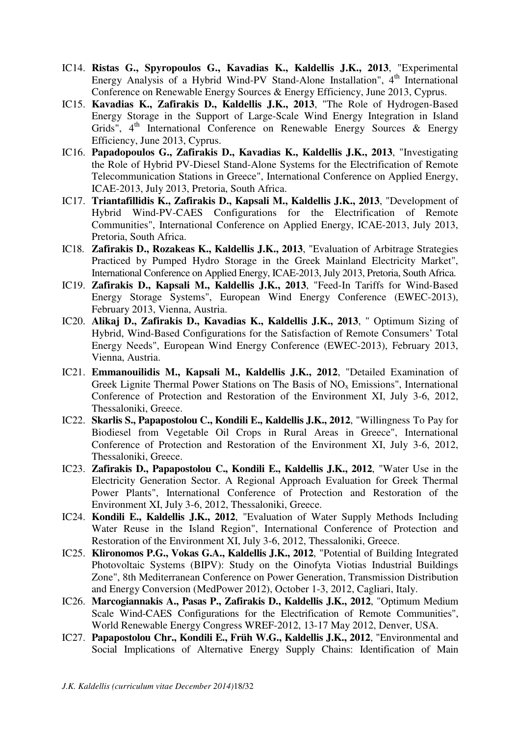- IC14. **Ristas G., Spyropoulos G., Kavadias K., Kaldellis J.K., 2013**, "Experimental Energy Analysis of a Hybrid Wind-PV Stand-Alone Installation",  $4<sup>th</sup>$  International Conference on Renewable Energy Sources & Energy Efficiency, June 2013, Cyprus.
- IC15. **Kavadias K., Zafirakis D., Kaldellis J.K., 2013**, "The Role of Hydrogen-Based Energy Storage in the Support of Large-Scale Wind Energy Integration in Island Grids",  $4<sup>th</sup>$  International Conference on Renewable Energy Sources & Energy Efficiency, June 2013, Cyprus.
- IC16. **Papadopoulos G., Zafirakis D., Kavadias K., Kaldellis J.K., 2013**, "Investigating the Role of Hybrid PV-Diesel Stand-Alone Systems for the Electrification of Remote Telecommunication Stations in Greece", International Conference on Applied Energy, ICAE-2013, July 2013, Pretoria, South Africa.
- IC17. **Triantafillidis K., Zafirakis D., Kapsali M., Kaldellis J.K., 2013**, "Development of Hybrid Wind-PV-CAES Configurations for the Electrification of Remote Communities", International Conference on Applied Energy, ICAE-2013, July 2013, Pretoria, South Africa.
- IC18. **Zafirakis D., Rozakeas K., Kaldellis J.K., 2013**, "Evaluation of Arbitrage Strategies Practiced by Pumped Hydro Storage in the Greek Mainland Electricity Market", International Conference on Applied Energy, ICAE-2013, July 2013, Pretoria, South Africa.
- IC19. **Zafirakis D., Kapsali M., Kaldellis J.K., 2013**, "Feed-In Tariffs for Wind-Based Energy Storage Systems", European Wind Energy Conference (EWEC-2013), February 2013, Vienna, Austria.
- IC20. **Alikaj D., Zafirakis D., Kavadias K., Kaldellis J.K., 2013**, " Optimum Sizing of Hybrid, Wind-Based Configurations for the Satisfaction of Remote Consumers' Total Energy Needs", European Wind Energy Conference (EWEC-2013), February 2013, Vienna, Austria.
- IC21. **Emmanouilidis M., Kapsali M., Kaldellis J.K., 2012**, "Detailed Examination of Greek Lignite Thermal Power Stations on The Basis of  $NO<sub>x</sub>$  Emissions", International Conference of Protection and Restoration of the Environment XI, July 3-6, 2012, Thessaloniki, Greece.
- IC22. **Skarlis S., Papapostolou C., Kondili E., Kaldellis J.K., 2012**, "Willingness To Pay for Biodiesel from Vegetable Oil Crops in Rural Areas in Greece", International Conference of Protection and Restoration of the Environment XI, July 3-6, 2012, Thessaloniki, Greece.
- IC23. **Zafirakis D., Papapostolou C., Kondili E., Kaldellis J.K., 2012**, "Water Use in the Electricity Generation Sector. A Regional Approach Evaluation for Greek Thermal Power Plants", International Conference of Protection and Restoration of the Environment XI, July 3-6, 2012, Thessaloniki, Greece.
- IC24. **Kondili E., Kaldellis J.K., 2012**, "Evaluation of Water Supply Methods Including Water Reuse in the Island Region", International Conference of Protection and Restoration of the Environment XI, July 3-6, 2012, Thessaloniki, Greece.
- IC25. **Klironomos P.G., Vokas G.A., Kaldellis J.K., 2012**, "Potential of Building Integrated Photovoltaic Systems (BIPV): Study on the Oinofyta Viotias Industrial Buildings Zone", 8th Mediterranean Conference on Power Generation, Transmission Distribution and Energy Conversion (MedPower 2012), October 1-3, 2012, Cagliari, Italy.
- IC26. **Marcogiannakis A., Pasas P., Zafirakis D., Kaldellis J.K., 2012**, "Optimum Medium Scale Wind-CAES Configurations for the Electrification of Remote Communities", World Renewable Energy Congress WREF-2012, 13-17 May 2012, Denver, USA.
- IC27. **Papapostolou Chr., Kondili E., Früh W.G., Kaldellis J.K., 2012**, "Environmental and Social Implications of Alternative Energy Supply Chains: Identification of Main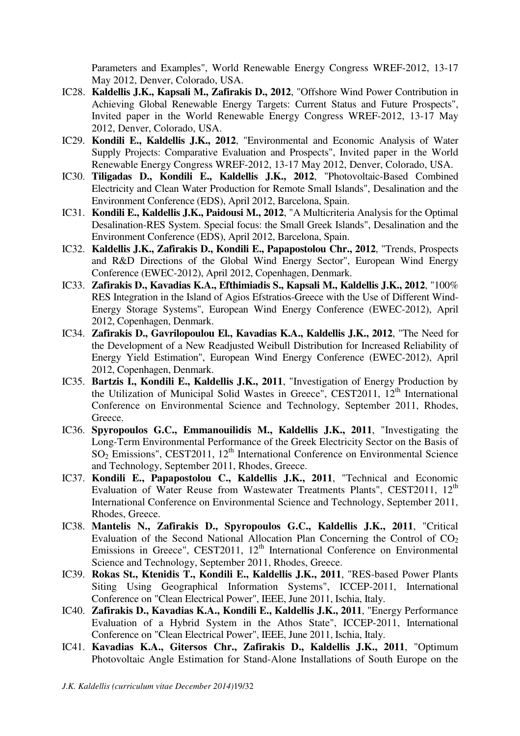Parameters and Examples", World Renewable Energy Congress WREF-2012, 13-17 May 2012, Denver, Colorado, USA.

- IC28. **Kaldellis J.K., Kapsali M., Zafirakis D., 2012**, "Offshore Wind Power Contribution in Achieving Global Renewable Energy Targets: Current Status and Future Prospects", Invited paper in the World Renewable Energy Congress WREF-2012, 13-17 May 2012, Denver, Colorado, USA.
- IC29. **Kondili E., Kaldellis J.K., 2012**, "Environmental and Economic Analysis of Water Supply Projects: Comparative Evaluation and Prospects", Invited paper in the World Renewable Energy Congress WREF-2012, 13-17 May 2012, Denver, Colorado, USA.
- IC30. **Tiligadas D., Kondili E., Kaldellis J.K., 2012**, "Photovoltaic-Based Combined Electricity and Clean Water Production for Remote Small Islands", Desalination and the Environment Conference (EDS), April 2012, Barcelona, Spain.
- IC31. **Kondili E., Kaldellis J.K., Paidousi M., 2012**, "A Multicriteria Analysis for the Optimal Desalination-RES System. Special focus: the Small Greek Islands", Desalination and the Environment Conference (EDS), April 2012, Barcelona, Spain.
- IC32. **Kaldellis J.K., Zafirakis D., Kondili E., Papapostolou Chr., 2012**, "Trends, Prospects and R&D Directions of the Global Wind Energy Sector", European Wind Energy Conference (EWEC-2012), April 2012, Copenhagen, Denmark.
- IC33. **Zafirakis D., Kavadias K.A., Efthimiadis S., Kapsali M., Kaldellis J.K., 2012**, "100% RES Integration in the Island of Agios Efstratios-Greece with the Use of Different Wind-Energy Storage Systems", European Wind Energy Conference (EWEC-2012), April 2012, Copenhagen, Denmark.
- IC34. **Zafirakis D., Gavrilopoulou El., Kavadias K.A., Kaldellis J.K., 2012**, "The Need for the Development of a New Readjusted Weibull Distribution for Increased Reliability of Energy Yield Estimation", European Wind Energy Conference (EWEC-2012), April 2012, Copenhagen, Denmark.
- IC35. **Bartzis I., Kondili E., Kaldellis J.K., 2011**, "Investigation of Energy Production by the Utilization of Municipal Solid Wastes in Greece", CEST2011,  $12<sup>th</sup>$  International Conference on Environmental Science and Technology, September 2011, Rhodes, Greece.
- IC36. **Spyropoulos G.C., Emmanouilidis M., Kaldellis J.K., 2011**, "Investigating the Long-Term Environmental Performance of the Greek Electricity Sector on the Basis of  $SO_2$  Emissions", CEST2011, 12<sup>th</sup> International Conference on Environmental Science and Technology, September 2011, Rhodes, Greece.
- IC37. **Kondili E., Papapostolou C., Kaldellis J.K., 2011**, "Technical and Economic Evaluation of Water Reuse from Wastewater Treatments Plants", CEST2011, 12<sup>th</sup> International Conference on Environmental Science and Technology, September 2011, Rhodes, Greece.
- IC38. **Mantelis N., Zafirakis D., Spyropoulos G.C., Kaldellis J.K., 2011**, "Critical Evaluation of the Second National Allocation Plan Concerning the Control of  $CO<sub>2</sub>$ Emissions in Greece", CEST2011,  $12<sup>th</sup>$  International Conference on Environmental Science and Technology, September 2011, Rhodes, Greece.
- IC39. **Rokas St., Ktenidis T., Kondili E., Kaldellis J.K., 2011**, "RES-based Power Plants Siting Using Geographical Information Systems", ICCEP-2011, International Conference on "Clean Electrical Power", IEEE, June 2011, Ischia, Italy.
- IC40. **Zafirakis D., Kavadias K.A., Kondili E., Kaldellis J.K., 2011**, "Energy Performance Evaluation of a Hybrid System in the Athos State", ICCEP-2011, International Conference on "Clean Electrical Power", IEEE, June 2011, Ischia, Italy.
- IC41. **Kavadias K.A., Gitersos Chr., Zafirakis D., Kaldellis J.K., 2011**, "Optimum Photovoltaic Angle Estimation for Stand-Alone Installations of South Europe on the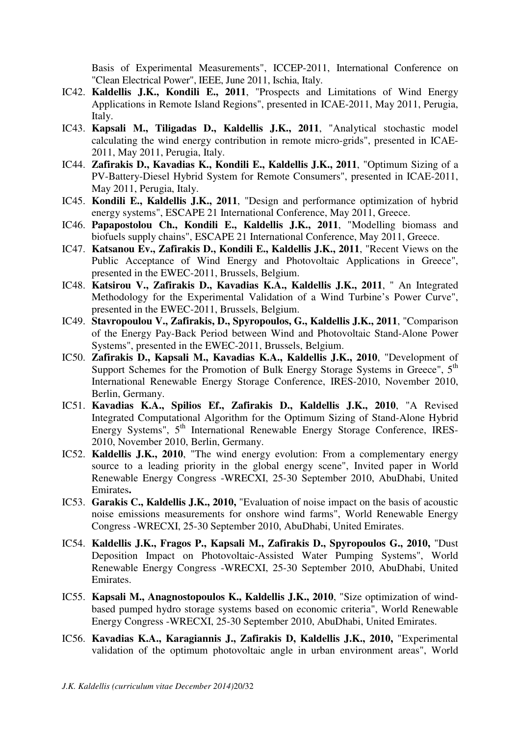Basis of Experimental Measurements", ICCEP-2011, International Conference on "Clean Electrical Power", IEEE, June 2011, Ischia, Italy.

- IC42. **Kaldellis J.K., Kondili E., 2011**, "Prospects and Limitations of Wind Energy Applications in Remote Island Regions", presented in ICAE-2011, May 2011, Perugia, Italy.
- IC43. **Kapsali M., Tiligadas D., Kaldellis J.K., 2011**, "Analytical stochastic model calculating the wind energy contribution in remote micro-grids", presented in ICAE-2011, May 2011, Perugia, Italy.
- IC44. **Zafirakis D., Kavadias K., Kondili E., Kaldellis J.K., 2011**, "Optimum Sizing of a PV-Battery-Diesel Hybrid System for Remote Consumers", presented in ICAE-2011, May 2011, Perugia, Italy.
- IC45. **Kondili E., Kaldellis J.K., 2011**, "Design and performance optimization of hybrid energy systems", ESCAPE 21 International Conference, May 2011, Greece.
- IC46. **Papapostolou Ch., Kondili E., Kaldellis J.K., 2011**, "Modelling biomass and biofuels supply chains", ESCAPE 21 International Conference, May 2011, Greece.
- IC47. **Katsanou Ev., Zafirakis D., Kondili E., Kaldellis J.K., 2011**, "Recent Views on the Public Acceptance of Wind Energy and Photovoltaic Applications in Greece", presented in the EWEC-2011, Brussels, Belgium.
- IC48. **Katsirou V., Zafirakis D., Kavadias K.A., Kaldellis J.K., 2011**, " An Integrated Methodology for the Experimental Validation of a Wind Turbine's Power Curve", presented in the EWEC-2011, Brussels, Belgium.
- IC49. **Stavropoulou V., Zafirakis, D., Spyropoulos, G., Kaldellis J.K., 2011**, "Comparison of the Energy Pay-Back Period between Wind and Photovoltaic Stand-Alone Power Systems", presented in the EWEC-2011, Brussels, Belgium.
- IC50. **Zafirakis D., Kapsali M., Kavadias K.A., Kaldellis J.K., 2010**, "Development of Support Schemes for the Promotion of Bulk Energy Storage Systems in Greece",  $5<sup>th</sup>$ International Renewable Energy Storage Conference, IRES-2010, November 2010, Berlin, Germany.
- IC51. **Kavadias K.A., Spilios Ef., Zafirakis D., Kaldellis J.K., 2010**, "A Revised Integrated Computational Algorithm for the Optimum Sizing of Stand-Alone Hybrid Energy Systems", 5th International Renewable Energy Storage Conference, IRES-2010, November 2010, Berlin, Germany.
- IC52. **Kaldellis J.K., 2010**, "The wind energy evolution: From a complementary energy source to a leading priority in the global energy scene", Invited paper in World Renewable Energy Congress -WRECXI, 25-30 September 2010, AbuDhabi, United Emirates**.**
- IC53. **Garakis C., Kaldellis J.K., 2010,** "Evaluation of noise impact on the basis of acoustic noise emissions measurements for onshore wind farms", World Renewable Energy Congress -WRECXI, 25-30 September 2010, AbuDhabi, United Emirates.
- IC54. **Kaldellis J.K., Fragos P., Kapsali M., Zafirakis D., Spyropoulos G., 2010,** "Dust Deposition Impact on Photovoltaic-Assisted Water Pumping Systems", World Renewable Energy Congress -WRECXI, 25-30 September 2010, AbuDhabi, United Emirates.
- IC55. **Kapsali M., Anagnostopoulos K., Kaldellis J.K., 2010**, "Size optimization of windbased pumped hydro storage systems based on economic criteria", World Renewable Energy Congress -WRECXI, 25-30 September 2010, AbuDhabi, United Emirates.
- IC56. **Kavadias K.A., Karagiannis J., Zafirakis D, Kaldellis J.K., 2010,** "Experimental validation of the optimum photovoltaic angle in urban environment areas", World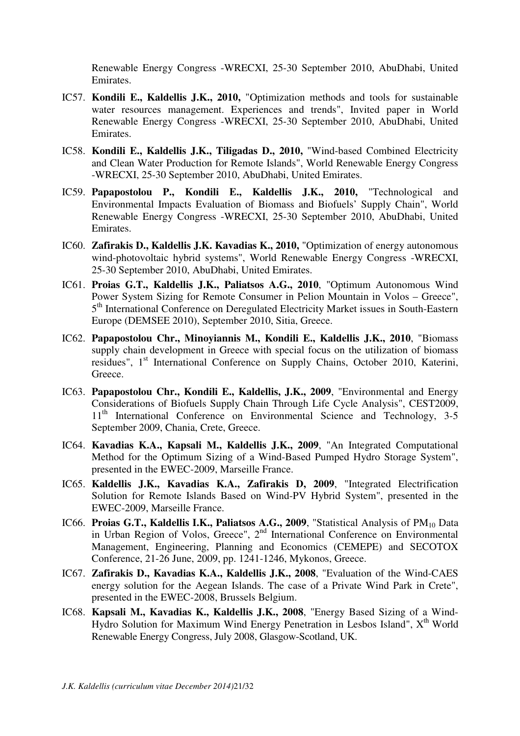Renewable Energy Congress -WRECXI, 25-30 September 2010, AbuDhabi, United Emirates.

- IC57. **Kondili E., Kaldellis J.K., 2010,** "Optimization methods and tools for sustainable water resources management. Experiences and trends", Invited paper in World Renewable Energy Congress -WRECXI, 25-30 September 2010, AbuDhabi, United Emirates.
- IC58. **Kondili E., Kaldellis J.K., Tiligadas D., 2010,** "Wind-based Combined Electricity and Clean Water Production for Remote Islands", World Renewable Energy Congress -WRECXI, 25-30 September 2010, AbuDhabi, United Emirates.
- IC59. **Papapostolou P., Kondili E., Kaldellis J.K., 2010,** "Technological and Environmental Impacts Evaluation of Biomass and Biofuels' Supply Chain", World Renewable Energy Congress -WRECXI, 25-30 September 2010, AbuDhabi, United Emirates.
- IC60. **Zafirakis D., Kaldellis J.K. Kavadias K., 2010,** "Optimization of energy autonomous wind-photovoltaic hybrid systems", World Renewable Energy Congress -WRECXI, 25-30 September 2010, AbuDhabi, United Emirates.
- IC61. **Proias G.T., Kaldellis J.K., Paliatsos A.G., 2010**, "Optimum Autonomous Wind Power System Sizing for Remote Consumer in Pelion Mountain in Volos – Greece", 5<sup>th</sup> International Conference on Deregulated Electricity Market issues in South-Eastern Europe (DEMSEE 2010), September 2010, Sitia, Greece.
- IC62. **Papapostolou Chr., Minoyiannis M., Kondili E., Kaldellis J.K., 2010**, "Biomass supply chain development in Greece with special focus on the utilization of biomass residues", 1<sup>st</sup> International Conference on Supply Chains, October 2010, Katerini, Greece.
- IC63. **Papapostolou Chr., Kondili E., Kaldellis, J.K., 2009**, "Environmental and Energy Considerations of Biofuels Supply Chain Through Life Cycle Analysis", CEST2009, 11<sup>th</sup> International Conference on Environmental Science and Technology, 3-5 September 2009, Chania, Crete, Greece.
- IC64. **Kavadias K.A., Kapsali M., Kaldellis J.K., 2009**, "An Integrated Computational Method for the Optimum Sizing of a Wind-Based Pumped Hydro Storage System", presented in the EWEC-2009, Marseille France.
- IC65. **Kaldellis J.K., Kavadias K.A., Zafirakis D, 2009**, "Integrated Electrification Solution for Remote Islands Based on Wind-PV Hybrid System", presented in the EWEC-2009, Marseille France.
- IC66. Proias G.T., Kaldellis I.K., Paliatsos A.G., 2009, "Statistical Analysis of PM<sub>10</sub> Data in Urban Region of Volos, Greece", 2nd International Conference on Environmental Management, Engineering, Planning and Economics (CEMEPE) and SECOTOX Conference, 21-26 June, 2009, pp. 1241-1246, Mykonos, Greece.
- IC67. **Zafirakis D., Kavadias K.A., Kaldellis J.K., 2008**, "Evaluation of the Wind-CAES energy solution for the Aegean Islands. The case of a Private Wind Park in Crete", presented in the EWEC-2008, Brussels Belgium.
- IC68. **Kapsali M., Kavadias K., Kaldellis J.K., 2008**, "Energy Based Sizing of a Wind-Hydro Solution for Maximum Wind Energy Penetration in Lesbos Island",  $X<sup>th</sup>$  World Renewable Energy Congress, July 2008, Glasgow-Scotland, UK.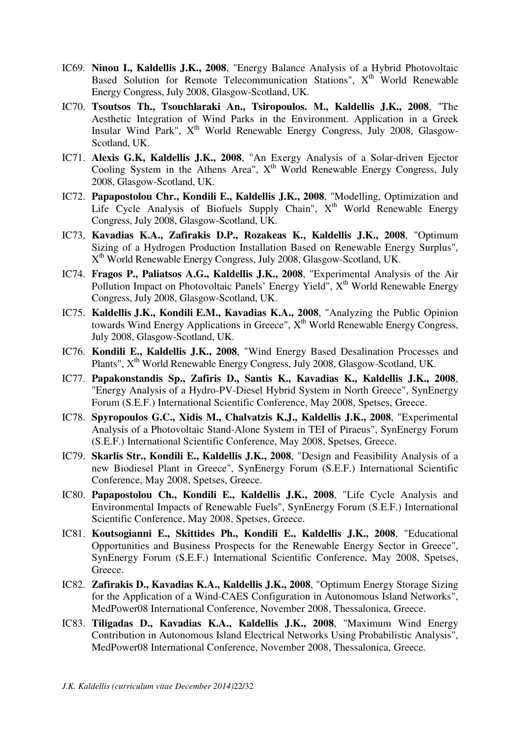- IC69. **Ninou I., Kaldellis J.K., 2008**, "Energy Balance Analysis of a Hybrid Photovoltaic Based Solution for Remote Telecommunication Stations",  $X<sup>th</sup>$  World Renewable Energy Congress, July 2008, Glasgow-Scotland, UK.
- IC70. **Tsoutsos Th., Tsouchlaraki An., Tsiropoulos. M., Kaldellis J.K., 2008**, "The Aesthetic Integration of Wind Parks in the Environment. Application in a Greek Insular Wind Park",  $X^{th}$  World Renewable Energy Congress, July 2008, Glasgow-Scotland, UK.
- IC71. **Alexis G.K, Kaldellis J.K., 2008**, "An Exergy Analysis of a Solar-driven Ejector Cooling System in the Athens Area",  $X<sup>th</sup>$  World Renewable Energy Congress, July 2008, Glasgow-Scotland, UK.
- IC72. **Papapostolou Chr., Kondili E., Kaldellis J.K., 2008**, "Modelling, Optimization and Life Cycle Analysis of Biofuels Supply Chain",  $X<sup>th</sup>$  World Renewable Energy Congress, July 2008, Glasgow-Scotland, UK.
- IC73. **Kavadias K.A., Zafirakis D.P., Rozakeas K., Kaldellis J.K., 2008**, "Optimum Sizing of a Hydrogen Production Installation Based on Renewable Energy Surplus", X<sup>th</sup> World Renewable Energy Congress, July 2008, Glasgow-Scotland, UK.
- IC74. **Fragos P., Paliatsos A.G., Kaldellis J.K., 2008**, "Experimental Analysis of the Air Pollution Impact on Photovoltaic Panels' Energy Yield",  $X<sup>th</sup>$  World Renewable Energy Congress, July 2008, Glasgow-Scotland, UK.
- IC75. **Kaldellis J.K., Kondili E.M., Kavadias K.A., 2008**, "Analyzing the Public Opinion towards Wind Energy Applications in Greece", Xth World Renewable Energy Congress, July 2008, Glasgow-Scotland, UK.
- IC76. **Kondili E., Kaldellis J.K., 2008**, "Wind Energy Based Desalination Processes and Plants",  $X<sup>th</sup>$  World Renewable Energy Congress, July 2008, Glasgow-Scotland, UK.
- IC77. **Papakonstandis Sp., Zafiris D., Santis K., Kavadias K., Kaldellis J.K., 2008**, "Energy Analysis of a Hydro-PV-Diesel Hybrid System in North Greece", SynEnergy Forum (S.E.F.) International Scientific Conference, May 2008, Spetses, Greece.
- IC78. **Spyropoulos G.C., Xidis M., Chalvatzis K.J., Kaldellis J.K., 2008**, "Experimental Analysis of a Photovoltaic Stand-Alone System in TEI of Piraeus", SynEnergy Forum (S.E.F.) International Scientific Conference, May 2008, Spetses, Greece.
- IC79. **Skarlis Str., Kondili E., Kaldellis J.K., 2008**, "Design and Feasibility Analysis of a new Biodiesel Plant in Greece", SynEnergy Forum (S.E.F.) International Scientific Conference, May 2008, Spetses, Greece.
- IC80. **Papapostolou Ch., Kondili E., Kaldellis J.K., 2008**, "Life Cycle Analysis and Environmental Impacts of Renewable Fuels", SynEnergy Forum (S.E.F.) International Scientific Conference, May 2008, Spetses, Greece.
- IC81. **Koutsogianni E., Skittides Ph., Kondili E., Kaldellis J.K., 2008**, "Educational Opportunities and Business Prospects for the Renewable Energy Sector in Greece", SynEnergy Forum (S.E.F.) International Scientific Conference, May 2008, Spetses, Greece.
- IC82. **Zafirakis D., Kavadias K.A., Kaldellis J.K., 2008**, "Optimum Energy Storage Sizing for the Application of a Wind-CAES Configuration in Autonomous Island Networks", MedPower08 International Conference, November 2008, Thessalonica, Greece.
- IC83. **Tiligadas D., Kavadias K.A., Kaldellis J.K., 2008**, "Maximum Wind Energy Contribution in Autonomous Island Electrical Networks Using Probabilistic Analysis", MedPower08 International Conference, November 2008, Thessalonica, Greece.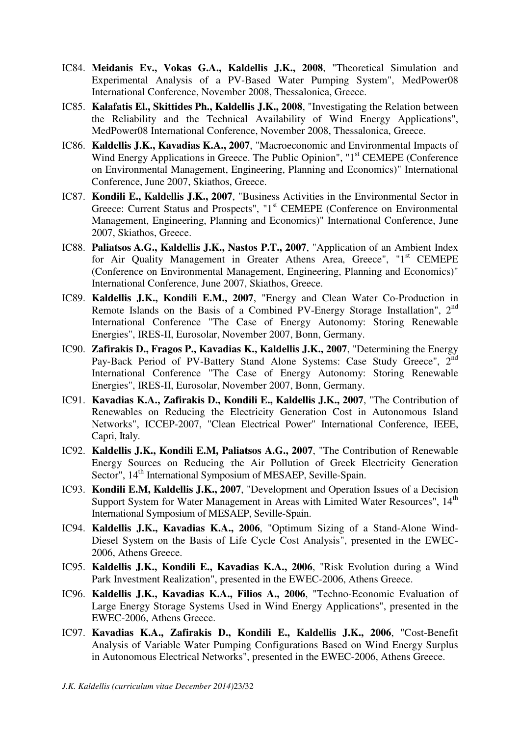- IC84. **Meidanis Ev., Vokas G.A., Kaldellis J.K., 2008**, "Theoretical Simulation and Experimental Analysis of a PV-Based Water Pumping System", MedPower08 International Conference, November 2008, Thessalonica, Greece.
- IC85. **Kalafatis El., Skittides Ph., Kaldellis J.K., 2008**, "Investigating the Relation between the Reliability and the Technical Availability of Wind Energy Applications", MedPower08 International Conference, November 2008, Thessalonica, Greece.
- IC86. **Kaldellis J.K., Kavadias K.A., 2007**, "Macroeconomic and Environmental Impacts of Wind Energy Applications in Greece. The Public Opinion", "1<sup>st</sup> CEMEPE (Conference on Environmental Management, Engineering, Planning and Economics)" International Conference, June 2007, Skiathos, Greece.
- IC87. **Kondili E., Kaldellis J.K., 2007**, "Business Activities in the Environmental Sector in Greece: Current Status and Prospects", "1<sup>st</sup> CEMEPE (Conference on Environmental Management, Engineering, Planning and Economics)" International Conference, June 2007, Skiathos, Greece.
- IC88. **Paliatsos A.G., Kaldellis J.K., Nastos P.T., 2007**, "Application of an Ambient Index for Air Quality Management in Greater Athens Area, Greece", "1<sup>st</sup> CEMEPE (Conference on Environmental Management, Engineering, Planning and Economics)" International Conference, June 2007, Skiathos, Greece.
- IC89. **Kaldellis J.K., Kondili E.M., 2007**, "Energy and Clean Water Co-Production in Remote Islands on the Basis of a Combined PV-Energy Storage Installation", 2nd International Conference "The Case of Energy Autonomy: Storing Renewable Energies", IRES-II, Eurosolar, November 2007, Bonn, Germany.
- IC90. **Zafirakis D., Fragos P., Kavadias K., Kaldellis J.K., 2007**, "Determining the Energy Pay-Back Period of PV-Battery Stand Alone Systems: Case Study Greece", 2<sup>nd</sup> International Conference "The Case of Energy Autonomy: Storing Renewable Energies", IRES-II, Eurosolar, November 2007, Bonn, Germany.
- IC91. **Kavadias K.A., Zafirakis D., Kondili E., Kaldellis J.K., 2007**, "The Contribution of Renewables on Reducing the Electricity Generation Cost in Autonomous Island Networks", ICCEP-2007, "Clean Electrical Power" International Conference, IEEE, Capri, Italy.
- IC92. **Kaldellis J.K., Kondili E.M, Paliatsos A.G., 2007**, "The Contribution οf Renewable Energy Sources οn Reducing τhe Air Pollution οf Greek Electricity Generation Sector", 14<sup>th</sup> International Symposium of MESAEP, Seville-Spain.
- IC93. **Kondili E.M, Kaldellis J.K., 2007**, "Development and Operation Issues of a Decision Support System for Water Management in Areas with Limited Water Resources", 14<sup>th</sup> International Symposium of MESAEP, Seville-Spain.
- IC94. **Kaldellis J.K., Kavadias K.A., 2006**, "Optimum Sizing of a Stand-Alone Wind-Diesel System on the Basis of Life Cycle Cost Analysis", presented in the EWEC-2006, Athens Greece.
- IC95. **Kaldellis J.K., Kondili E., Kavadias K.A., 2006**, "Risk Evolution during a Wind Park Investment Realization", presented in the EWEC-2006, Athens Greece.
- IC96. **Kaldellis J.K., Kavadias K.A., Filios A., 2006**, "Techno-Economic Evaluation of Large Energy Storage Systems Used in Wind Energy Applications", presented in the EWEC-2006, Athens Greece.
- IC97. **Kavadias K.A., Zafirakis D., Kondili E., Kaldellis J.K., 2006**, "Cost-Benefit Analysis of Variable Water Pumping Configurations Based on Wind Energy Surplus in Autonomous Electrical Networks", presented in the EWEC-2006, Athens Greece.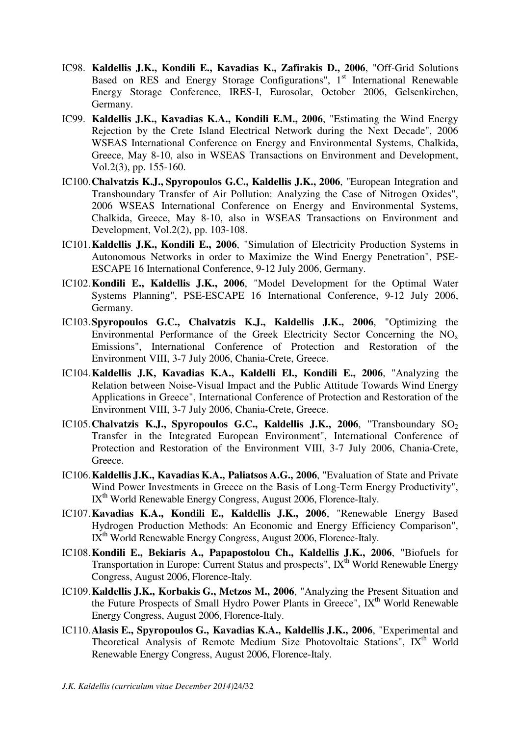- IC98. **Kaldellis J.K., Kondili E., Kavadias K., Zafirakis D., 2006**, "Off-Grid Solutions Based on RES and Energy Storage Configurations",  $1<sup>st</sup>$  International Renewable Energy Storage Conference, IRES-I, Eurosolar, October 2006, Gelsenkirchen, Germany.
- IC99. **Kaldellis J.K., Kavadias K.A., Kondili E.M., 2006**, "Estimating the Wind Energy Rejection by the Crete Island Electrical Network during the Next Decade", 2006 WSEAS International Conference on Energy and Environmental Systems, Chalkida, Greece, May 8-10, also in WSEAS Transactions on Environment and Development, Vol.2(3), pp. 155-160.
- IC100.**Chalvatzis K.J., Spyropoulos G.C., Kaldellis J.K., 2006**, "European Integration and Transboundary Transfer of Air Pollution: Analyzing the Case of Nitrogen Oxides", 2006 WSEAS International Conference on Energy and Environmental Systems, Chalkida, Greece, May 8-10, also in WSEAS Transactions on Environment and Development, Vol.2(2), pp. 103-108.
- IC101.**Kaldellis J.K., Kondili E., 2006**, "Simulation of Electricity Production Systems in Autonomous Networks in order to Maximize the Wind Energy Penetration", PSE-ESCAPE 16 International Conference, 9-12 July 2006, Germany.
- IC102.**Kondili E., Kaldellis J.K., 2006**, "Model Development for the Optimal Water Systems Planning", PSE-ESCAPE 16 International Conference, 9-12 July 2006, Germany.
- IC103.**Spyropoulos G.C., Chalvatzis K.J., Kaldellis J.K., 2006**, "Optimizing the Environmental Performance of the Greek Electricity Sector Concerning the NO<sub>x</sub> Emissions", International Conference of Protection and Restoration of the Environment VIII, 3-7 July 2006, Chania-Crete, Greece.
- IC104.**Kaldellis J.K, Kavadias K.A., Kaldelli El., Kondili E., 2006**, "Analyzing the Relation between Noise-Visual Impact and the Public Attitude Towards Wind Energy Applications in Greece", International Conference of Protection and Restoration of the Environment VIII, 3-7 July 2006, Chania-Crete, Greece.
- IC105. Chalvatzis K.J., Spyropoulos G.C., Kaldellis J.K., 2006, "Transboundary SO<sub>2</sub> Transfer in the Integrated European Environment", International Conference of Protection and Restoration of the Environment VIII, 3-7 July 2006, Chania-Crete, Greece.
- IC106.**Kaldellis J.K., Kavadias K.A., Paliatsos A.G., 2006**, "Evaluation of State and Private Wind Power Investments in Greece on the Basis of Long-Term Energy Productivity", IX<sup>th</sup> World Renewable Energy Congress, August 2006, Florence-Italy.
- IC107.**Kavadias K.A., Kondili E., Kaldellis J.K., 2006**, "Renewable Energy Based Hydrogen Production Methods: An Economic and Energy Efficiency Comparison", IX<sup>th</sup> World Renewable Energy Congress, August 2006, Florence-Italy.
- IC108.**Kondili E., Bekiaris A., Papapostolou Ch., Kaldellis J.K., 2006**, "Biofuels for Transportation in Europe: Current Status and prospects", IX<sup>th</sup> World Renewable Energy Congress, August 2006, Florence-Italy.
- IC109.**Kaldellis J.K., Korbakis G., Metzos M., 2006**, "Analyzing the Present Situation and the Future Prospects of Small Hydro Power Plants in Greece", IX<sup>th</sup> World Renewable Energy Congress, August 2006, Florence-Italy.
- IC110.**Alasis E., Spyropoulos G., Kavadias K.A., Kaldellis J.K., 2006**, "Experimental and Theoretical Analysis of Remote Medium Size Photovoltaic Stations", IX<sup>th</sup> World Renewable Energy Congress, August 2006, Florence-Italy.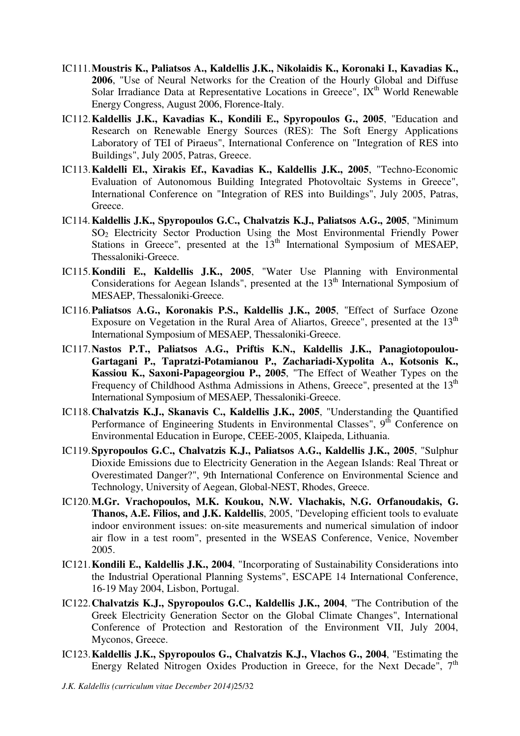- IC111.**Moustris K., Paliatsos A., Kaldellis J.K., Nikolaidis K., Koronaki I., Kavadias K., 2006**, "Use of Neural Networks for the Creation of the Hourly Global and Diffuse Solar Irradiance Data at Representative Locations in Greece",  $\overline{IX}^{th}$  World Renewable Energy Congress, August 2006, Florence-Italy.
- IC112.**Kaldellis J.K., Kavadias K., Kondili E., Spyropoulos G., 2005**, "Education and Research on Renewable Energy Sources (RES): The Soft Energy Applications Laboratory of TEI of Piraeus", International Conference on "Integration of RES into Buildings", July 2005, Patras, Greece.
- IC113.**Kaldelli El., Xirakis Ef., Kavadias K., Kaldellis J.K., 2005**, "Techno-Economic Evaluation of Autonomous Building Integrated Photovoltaic Systems in Greece", International Conference on "Integration of RES into Buildings", July 2005, Patras, Greece.
- IC114.**Kaldellis J.K., Spyropoulos G.C., Chalvatzis K.J., Paliatsos A.G., 2005**, "Minimum SO2 Electricity Sector Production Using the Most Environmental Friendly Power Stations in Greece", presented at the 13<sup>th</sup> International Symposium of MESAEP, Thessaloniki-Greece.
- IC115.**Kondili E., Kaldellis J.K., 2005**, "Water Use Planning with Environmental Considerations for Aegean Islands", presented at the  $13<sup>th</sup>$  International Symposium of MESAEP, Thessaloniki-Greece.
- IC116.**Paliatsos A.G., Koronakis P.S., Kaldellis J.K., 2005**, "Effect of Surface Ozone Exposure on Vegetation in the Rural Area of Aliartos, Greece", presented at the  $13<sup>th</sup>$ International Symposium of MESAEP, Thessaloniki-Greece.
- IC117.**Nastos P.T., Paliatsos A.G., Priftis K.N., Kaldellis J.K., Panagiotopoulou-Gartagani P., Tapratzi-Potamianou P., Zachariadi-Xypolita A., Kotsonis K., Kassiou K., Saxoni-Papageorgiou P., 2005**, "The Effect of Weather Types on the Frequency of Childhood Asthma Admissions in Athens, Greece", presented at the 13<sup>th</sup> International Symposium of MESAEP, Thessaloniki-Greece.
- IC118.**Chalvatzis K.J., Skanavis C., Kaldellis J.K., 2005**, "Understanding the Quantified Performance of Engineering Students in Environmental Classes",  $9<sup>th</sup>$  Conference on Environmental Education in Europe, CEEE-2005, Klaipeda, Lithuania.
- IC119.**Spyropoulos G.C., Chalvatzis K.J., Paliatsos A.G., Kaldellis J.K., 2005**, "Sulphur Dioxide Emissions due to Electricity Generation in the Aegean Islands: Real Threat or Overestimated Danger?", 9th International Conference on Environmental Science and Technology, University of Aegean, Global-NEST, Rhodes, Greece.
- IC120.**M.Gr. Vrachopoulos, M.K. Koukou, N.W. Vlachakis, N.G. Orfanoudakis, G. Thanos, A.E. Filios, and J.K. Kaldellis**, 2005, "Developing efficient tools to evaluate indoor environment issues: on-site measurements and numerical simulation of indoor air flow in a test room", presented in the WSEAS Conference, Venice, November 2005.
- IC121.**Kondili E., Kaldellis J.K., 2004**, "Incorporating of Sustainability Considerations into the Industrial Operational Planning Systems", ESCAPE 14 International Conference, 16-19 May 2004, Lisbon, Portugal.
- IC122.**Chalvatzis K.J., Spyropoulos G.C., Kaldellis J.K., 2004**, "The Contribution of the Greek Electricity Generation Sector on the Global Climate Changes", International Conference of Protection and Restoration of the Environment VII, July 2004, Myconos, Greece.
- IC123.**Kaldellis J.K., Spyropoulos G., Chalvatzis K.J., Vlachos G., 2004**, "Estimating the Energy Related Nitrogen Oxides Production in Greece, for the Next Decade", 7<sup>th</sup>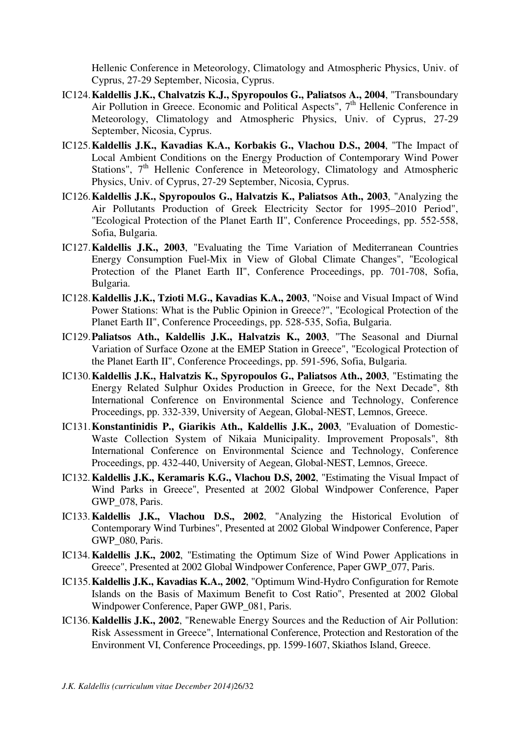Hellenic Conference in Meteorology, Climatology and Atmospheric Physics, Univ. of Cyprus, 27-29 September, Nicosia, Cyprus.

- IC124.**Kaldellis J.K., Chalvatzis K.J., Spyropoulos G., Paliatsos A., 2004**, "Transboundary Air Pollution in Greece. Economic and Political Aspects",  $7<sup>th</sup>$  Hellenic Conference in Meteorology, Climatology and Atmospheric Physics, Univ. of Cyprus, 27-29 September, Nicosia, Cyprus.
- IC125.**Kaldellis J.K., Kavadias K.A., Korbakis G., Vlachou D.S., 2004**, "The Impact of Local Ambient Conditions on the Energy Production of Contemporary Wind Power Stations",  $7<sup>th</sup>$  Hellenic Conference in Meteorology, Climatology and Atmospheric Physics, Univ. of Cyprus, 27-29 September, Nicosia, Cyprus.
- IC126.**Kaldellis J.K., Spyropoulos G., Halvatzis K., Paliatsos Ath., 2003**, "Analyzing the Air Pollutants Production of Greek Electricity Sector for 1995–2010 Period", "Ecological Protection of the Planet Earth II", Conference Proceedings, pp. 552-558, Sofia, Bulgaria.
- IC127.**Kaldellis J.K., 2003**, "Evaluating the Time Variation of Mediterranean Countries Energy Consumption Fuel-Mix in View of Global Climate Changes", "Ecological Protection of the Planet Earth II", Conference Proceedings, pp. 701-708, Sofia, Bulgaria.
- IC128.**Kaldellis J.K., Tzioti M.G., Kavadias K.A., 2003**, "Noise and Visual Impact of Wind Power Stations: What is the Public Opinion in Greece?", "Ecological Protection of the Planet Earth II", Conference Proceedings, pp. 528-535, Sofia, Bulgaria.
- IC129.**Paliatsos Ath., Kaldellis J.K., Halvatzis K., 2003**, "The Seasonal and Diurnal Variation of Surface Ozone at the EMEP Station in Greece", "Ecological Protection of the Planet Earth II", Conference Proceedings, pp. 591-596, Sofia, Bulgaria.
- IC130.**Kaldellis J.K., Halvatzis K., Spyropoulos G., Paliatsos Ath., 2003**, "Estimating the Energy Related Sulphur Oxides Production in Greece, for the Next Decade", 8th International Conference on Environmental Science and Technology, Conference Proceedings, pp. 332-339, University of Aegean, Global-NEST, Lemnos, Greece.
- IC131.**Konstantinidis P., Giarikis Ath., Kaldellis J.K., 2003**, "Evaluation of Domestic-Waste Collection System of Nikaia Municipality. Improvement Proposals", 8th International Conference on Environmental Science and Technology, Conference Proceedings, pp. 432-440, University of Aegean, Global-NEST, Lemnos, Greece.
- IC132.**Kaldellis J.K., Keramaris K.G., Vlachou D.S, 2002**, "Estimating the Visual Impact of Wind Parks in Greece", Presented at 2002 Global Windpower Conference, Paper GWP\_078, Paris.
- IC133.**Kaldellis J.K., Vlachou D.S., 2002**, "Analyzing the Historical Evolution of Contemporary Wind Turbines", Presented at 2002 Global Windpower Conference, Paper GWP\_080, Paris.
- IC134.**Kaldellis J.K., 2002**, "Estimating the Optimum Size of Wind Power Applications in Greece", Presented at 2002 Global Windpower Conference, Paper GWP\_077, Paris.
- IC135.**Kaldellis J.K., Kavadias K.A., 2002**, "Optimum Wind-Hydro Configuration for Remote Islands on the Basis of Maximum Benefit to Cost Ratio", Presented at 2002 Global Windpower Conference, Paper GWP\_081, Paris.
- IC136.**Kaldellis J.K., 2002**, "Renewable Energy Sources and the Reduction of Air Pollution: Risk Assessment in Greece", International Conference, Protection and Restoration of the Environment VI, Conference Proceedings, pp. 1599-1607, Skiathos Island, Greece.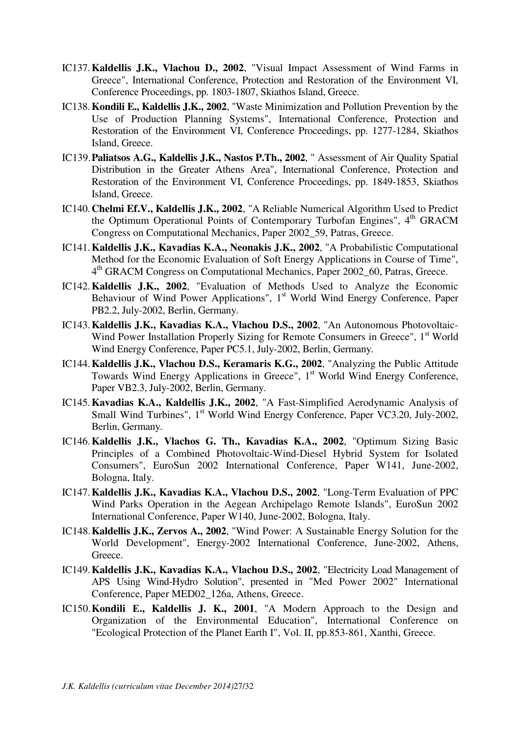- IC137.**Kaldellis J.K., Vlachou D., 2002**, "Visual Impact Assessment of Wind Farms in Greece", International Conference, Protection and Restoration of the Environment VI, Conference Proceedings, pp. 1803-1807, Skiathos Island, Greece.
- IC138.**Kondili E., Kaldellis J.K., 2002**, "Waste Minimization and Pollution Prevention by the Use of Production Planning Systems", International Conference, Protection and Restoration of the Environment VI, Conference Proceedings, pp. 1277-1284, Skiathos Island, Greece.
- IC139.**Paliatsos A.G., Kaldellis J.K., Nastos P.Th., 2002**, " Assessment of Air Quality Spatial Distribution in the Greater Athens Area", International Conference, Protection and Restoration of the Environment VI, Conference Proceedings, pp. 1849-1853, Skiathos Island, Greece.
- IC140.**Chelmi Ef.V., Kaldellis J.K., 2002**, "A Reliable Numerical Algorithm Used to Predict the Optimum Operational Points of Contemporary Turbofan Engines", 4<sup>th</sup> GRACM Congress on Computational Mechanics, Paper 2002\_59, Patras, Greece.
- IC141.**Kaldellis J.K., Kavadias K.A., Neonakis J.K., 2002**, "A Probabilistic Computational Method for the Economic Evaluation of Soft Energy Applications in Course of Time", 4 th GRACM Congress on Computational Mechanics, Paper 2002\_60, Patras, Greece.
- IC142.**Kaldellis J.K., 2002**, "Evaluation of Methods Used to Analyze the Economic Behaviour of Wind Power Applications",  $1<sup>st</sup>$  World Wind Energy Conference, Paper PB2.2, July-2002, Berlin, Germany.
- IC143.**Kaldellis J.K., Kavadias K.A., Vlachou D.S., 2002**, "An Autonomous Photovoltaic-Wind Power Installation Properly Sizing for Remote Consumers in Greece", 1<sup>st</sup> World Wind Energy Conference, Paper PC5.1, July-2002, Berlin, Germany.
- IC144.**Kaldellis J.K., Vlachou D.S., Keramaris K.G., 2002**, "Analyzing the Public Attitude Towards Wind Energy Applications in Greece", 1<sup>st</sup> World Wind Energy Conference, Paper VB2.3, July-2002, Berlin, Germany.
- IC145.**Kavadias K.A., Kaldellis J.K., 2002**, "A Fast-Simplified Aerodynamic Analysis of Small Wind Turbines", 1<sup>st</sup> World Wind Energy Conference, Paper VC3.20, July-2002, Berlin, Germany.
- IC146.**Kaldellis J.K., Vlachos G. Th., Kavadias K.A., 2002**, "Optimum Sizing Basic Principles of a Combined Photovoltaic-Wind-Diesel Hybrid System for Isolated Consumers", EuroSun 2002 International Conference, Paper W141, June-2002, Bologna, Italy.
- IC147.**Kaldellis J.K., Kavadias K.A., Vlachou D.S., 2002**, "Long-Term Evaluation of PPC Wind Parks Operation in the Aegean Archipelago Remote Islands", EuroSun 2002 International Conference, Paper W140, June-2002, Bologna, Italy.
- IC148.**Kaldellis J.K., Zervos A., 2002**, "Wind Power: A Sustainable Energy Solution for the World Development", Energy-2002 International Conference, June-2002, Athens, Greece.
- IC149.**Kaldellis J.K., Kavadias K.A., Vlachou D.S., 2002**, "Electricity Load Management of APS Using Wind-Hydro Solution", presented in "Med Power 2002" International Conference, Paper MED02\_126a, Athens, Greece.
- IC150.**Kondili Ε., Kaldellis J. K., 2001**, "A Modern Approach to the Design and Organization of the Environmental Education", International Conference on "Ecological Protection of the Planet Earth I", Vol. II, pp.853-861, Xanthi, Greece.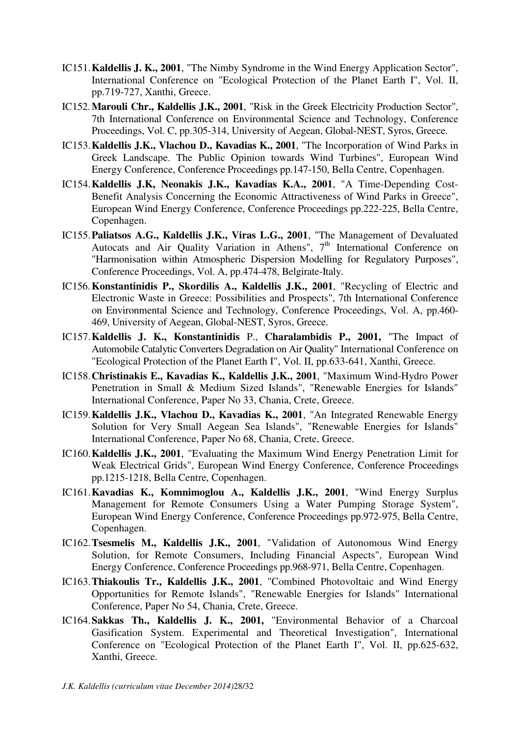- IC151.**Kaldellis J. K., 2001**, "The Nimby Syndrome in the Wind Energy Application Sector", International Conference on "Ecological Protection of the Planet Earth I", Vol. II, pp.719-727, Xanthi, Greece.
- IC152.**Marouli Chr., Kaldellis J.K., 2001**, "Risk in the Greek Electricity Production Sector", 7th International Conference on Environmental Science and Technology, Conference Proceedings, Vol. C, pp.305-314, University of Aegean, Global-NEST, Syros, Greece.
- IC153.**Kaldellis J.K., Vlachou D., Kavadias K., 2001**, "The Incorporation of Wind Parks in Greek Landscape. The Public Opinion towards Wind Turbines", European Wind Energy Conference, Conference Proceedings pp.147-150, Bella Centre, Copenhagen.
- IC154.**Kaldellis J.K, Neonakis J.Κ., Kavadias K.A., 2001**, "A Time-Depending Cost-Benefit Analysis Concerning the Economic Attractiveness of Wind Parks in Greece", European Wind Energy Conference, Conference Proceedings pp.222-225, Bella Centre, Copenhagen.
- IC155.**Paliatsos A.G., Kaldellis J.K., Viras L.G., 2001**, "The Management of Devaluated Autocats and Air Quality Variation in Athens",  $7<sup>th</sup>$  International Conference on "Harmonisation within Atmospheric Dispersion Modelling for Regulatory Purposes", Conference Proceedings, Vol. A, pp.474-478, Belgirate-Italy.
- IC156.**Konstantinidis P., Skordilis A., Kaldellis J.K., 2001**, "Recycling of Electric and Electronic Waste in Greece: Possibilities and Prospects", 7th International Conference on Environmental Science and Technology, Conference Proceedings, Vol. A, pp.460- 469, University of Aegean, Global-NEST, Syros, Greece.
- IC157.**Kaldellis J. K., Konstantinidis** P., **Charalambidis P., 2001,** "The Impact of Automobile Catalytic Converters Degradation on Air Quality" International Conference on "Ecological Protection of the Planet Earth I", Vol. II, pp.633-641, Xanthi, Greece.
- IC158.**Christinakis E., Kavadias K., Kaldellis J.K., 2001**, "Maximum Wind-Hydro Power Penetration in Small & Medium Sized Islands", "Renewable Energies for Islands" International Conference, Paper No 33, Chania, Crete, Greece.
- IC159.**Kaldellis J.K., Vlachou D., Kavadias K., 2001**, "An Integrated Renewable Energy Solution for Very Small Aegean Sea Islands", "Renewable Energies for Islands" International Conference, Paper No 68, Chania, Crete, Greece.
- IC160.**Kaldellis J.K., 2001**, "Evaluating the Maximum Wind Energy Penetration Limit for Weak Electrical Grids", European Wind Energy Conference, Conference Proceedings pp.1215-1218, Bella Centre, Copenhagen.
- IC161.**Kavadias K., Komnimoglou A., Kaldellis J.K., 2001**, "Wind Energy Surplus Management for Remote Consumers Using a Water Pumping Storage System", European Wind Energy Conference, Conference Proceedings pp.972-975, Bella Centre, Copenhagen.
- IC162.**Tsesmelis M., Kaldellis J.K., 2001**, "Validation of Autonomous Wind Energy Solution, for Remote Consumers, Including Financial Aspects", European Wind Energy Conference, Conference Proceedings pp.968-971, Bella Centre, Copenhagen.
- IC163.**Thiakoulis Tr., Kaldellis J.K., 2001**, "Combined Photovoltaic and Wind Energy Opportunities for Remote Islands", "Renewable Energies for Islands" International Conference, Paper No 54, Chania, Crete, Greece.
- IC164.**Sakkas Th., Kaldellis J. K., 2001,** "Environmental Behavior of a Charcoal Gasification System. Experimental and Theoretical Investigation", International Conference on "Ecological Protection of the Planet Earth I", Vol. II, pp.625-632, Xanthi, Greece.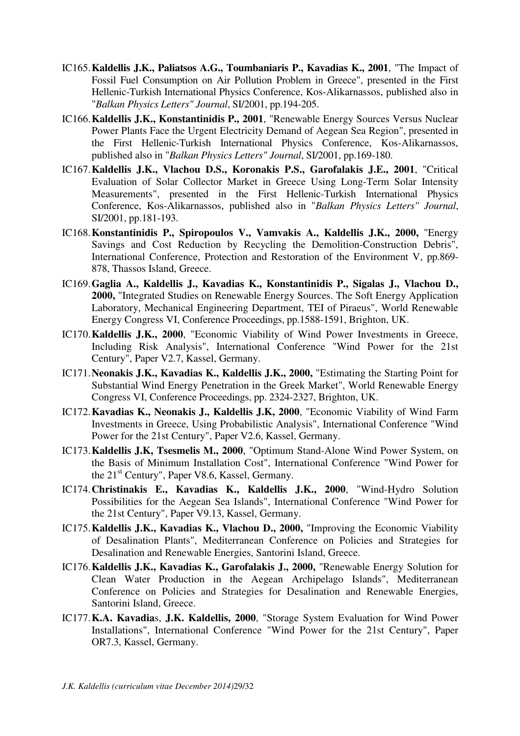- IC165.**Kaldellis J.K., Paliatsos A.G., Toumbaniaris P., Kavadias K., 2001**, "The Impact of Fossil Fuel Consumption on Air Pollution Problem in Greece", presented in the First Hellenic-Turkish International Physics Conference, Kos-Alikarnassos, published also in "*Balkan Physics Letters" Journal*, SI/2001, pp.194-205.
- IC166.**Kaldellis J.K., Konstantinidis P., 2001**, "Renewable Energy Sources Versus Nuclear Power Plants Face the Urgent Electricity Demand of Aegean Sea Region", presented in the First Hellenic-Turkish International Physics Conference, Kos-Alikarnassos, published also in "*Balkan Physics Letters" Journal*, SI/2001, pp.169-180.
- IC167.**Kaldellis J.K., Vlachou D.S., Koronakis P.S., Garofalakis J.E., 2001**, "Critical Evaluation of Solar Collector Market in Greece Using Long-Term Solar Intensity Measurements", presented in the First Hellenic-Turkish International Physics Conference, Kos-Alikarnassos, published also in "*Balkan Physics Letters" Journal*, SI/2001, pp.181-193.
- IC168.**Konstantinidis P., Spiropoulos V., Vamvakis A., Kaldellis J.K., 2000,** "Energy Savings and Cost Reduction by Recycling the Demolition-Construction Debris", International Conference, Protection and Restoration of the Environment V, pp.869- 878, Thassos Island, Greece.
- IC169.**Gaglia A., Kaldellis J., Kavadias K., Konstantinidis P., Sigalas J., Vlachou D., 2000,** "Integrated Studies on Renewable Energy Sources. The Soft Energy Application Laboratory, Mechanical Engineering Department, TEI of Piraeus", World Renewable Energy Congress VI, Conference Proceedings, pp.1588-1591, Brighton, UK.
- IC170.**Kaldellis J.K., 2000**, "Economic Viability of Wind Power Investments in Greece, Including Risk Analysis", International Conference "Wind Power for the 21st Century", Paper V2.7, Kassel, Germany.
- IC171.**Neonakis J.K., Kavadias K., Kaldellis J.K., 2000,** "Estimating the Starting Point for Substantial Wind Energy Penetration in the Greek Market", World Renewable Energy Congress VI, Conference Proceedings, pp. 2324-2327, Brighton, UK.
- IC172.**Kavadias K., Neonakis J., Kaldellis J.K, 2000**, "Economic Viability of Wind Farm Investments in Greece, Using Probabilistic Analysis", International Conference "Wind Power for the 21st Century", Paper V2.6, Kassel, Germany.
- IC173.**Kaldellis J.K, Tsesmelis M., 2000**, "Optimum Stand-Alone Wind Power System, on the Basis of Minimum Installation Cost", International Conference "Wind Power for the 21st Century", Paper V8.6, Kassel, Germany.
- IC174.**Christinakis E., Kavadias K., Kaldellis J.K., 2000**, "Wind-Hydro Solution Possibilities for the Aegean Sea Islands", International Conference "Wind Power for the 21st Century", Paper V9.13, Kassel, Germany.
- IC175.**Kaldellis J.K., Kavadias K., Vlachou D., 2000,** "Improving the Economic Viability of Desalination Plants", Mediterranean Conference on Policies and Strategies for Desalination and Renewable Energies, Santorini Island, Greece.
- IC176.**Kaldellis J.K., Kavadias K., Garofalakis J., 2000,** "Renewable Energy Solution for Clean Water Production in the Aegean Archipelago Islands", Mediterranean Conference on Policies and Strategies for Desalination and Renewable Energies, Santorini Island, Greece.
- IC177.**K.A. Kavadia**s, **J.K. Kaldellis, 2000**, "Storage System Evaluation for Wind Power Installations", International Conference "Wind Power for the 21st Century", Paper OR7.3, Kassel, Germany.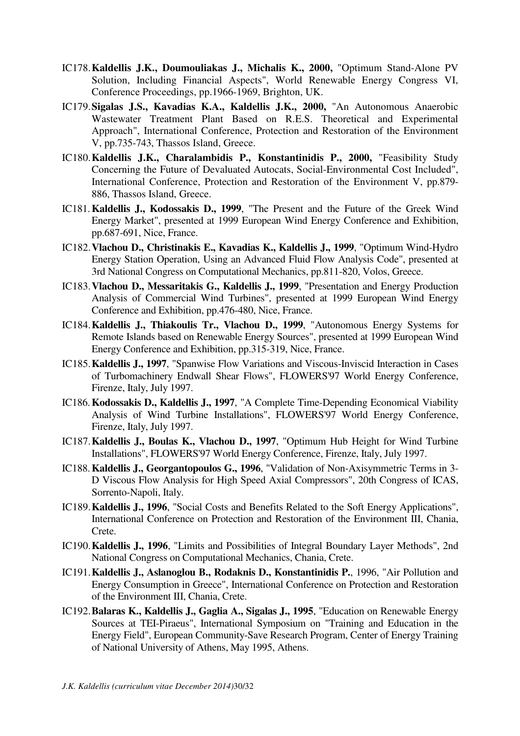- IC178.**Kaldellis J.K., Doumouliakas J., Michalis K., 2000,** "Optimum Stand-Alone PV Solution, Including Financial Aspects", World Renewable Energy Congress VI, Conference Proceedings, pp.1966-1969, Brighton, UK.
- IC179.**Sigalas J.S., Kavadias K.A., Kaldellis J.K., 2000,** "An Autonomous Anaerobic Wastewater Treatment Plant Based on R.E.S. Theoretical and Experimental Approach", International Conference, Protection and Restoration of the Environment V, pp.735-743, Thassos Island, Greece.
- IC180.**Kaldellis J.K., Charalambidis P., Konstantinidis P., 2000,** "Feasibility Study Concerning the Future of Devaluated Autocats, Social-Environmental Cost Included", International Conference, Protection and Restoration of the Environment V, pp.879- 886, Thassos Island, Greece.
- IC181.**Kaldellis J., Kodossakis D., 1999**, "The Present and the Future of the Greek Wind Energy Market", presented at 1999 European Wind Energy Conference and Exhibition, pp.687-691, Nice, France.
- IC182.**Vlachou D., Christinakis E., Kavadias K., Kaldellis J., 1999**, "Optimum Wind-Hydro Energy Station Operation, Using an Advanced Fluid Flow Analysis Code", presented at 3rd National Congress on Computational Mechanics, pp.811-820, Volos, Greece.
- IC183.**Vlachou D., Messaritakis G., Kaldellis J., 1999**, "Presentation and Energy Production Analysis of Commercial Wind Turbines", presented at 1999 European Wind Energy Conference and Exhibition, pp.476-480, Nice, France.
- IC184.**Kaldellis J., Thiakoulis Tr., Vlachou D., 1999**, "Autonomous Energy Systems for Remote Islands based on Renewable Energy Sources", presented at 1999 European Wind Energy Conference and Exhibition, pp.315-319, Nice, France.
- IC185.**Kaldellis J., 1997**, "Spanwise Flow Variations and Viscous-Inviscid Interaction in Cases of Turbomachinery Endwall Shear Flows", FLOWERS'97 World Energy Conference, Firenze, Italy, July 1997.
- IC186.**Kodossakis D., Kaldellis J., 1997**, "A Complete Time-Depending Economical Viability Analysis of Wind Turbine Installations", FLOWERS'97 World Energy Conference, Firenze, Italy, July 1997.
- IC187.**Kaldellis J., Boulas K., Vlachou D., 1997**, "Optimum Hub Height for Wind Turbine Installations", FLOWERS'97 World Energy Conference, Firenze, Italy, July 1997.
- IC188.**Kaldellis J., Georgantopoulos G., 1996**, "Validation of Non-Axisymmetric Terms in 3- D Viscous Flow Analysis for High Speed Axial Compressors", 20th Congress of ICAS, Sorrento-Napoli, Italy.
- IC189.**Kaldellis J., 1996**, "Social Costs and Benefits Related to the Soft Energy Applications", International Conference on Protection and Restoration of the Environment III, Chania, Crete.
- IC190.**Kaldellis J., 1996**, "Limits and Possibilities of Integral Boundary Layer Methods", 2nd National Congress on Computational Mechanics, Chania, Crete.
- IC191.**Kaldellis J., Aslanoglou B., Rodaknis D., Konstantinidis P.**, 1996, "Air Pollution and Energy Consumption in Greece", International Conference on Protection and Restoration of the Environment III, Chania, Crete.
- IC192.**Balaras K., Kaldellis J., Gaglia A., Sigalas J., 1995**, "Education on Renewable Energy Sources at TEI-Piraeus", International Symposium on "Training and Education in the Energy Field", European Community-Save Research Program, Center of Energy Training of National University of Athens, May 1995, Athens.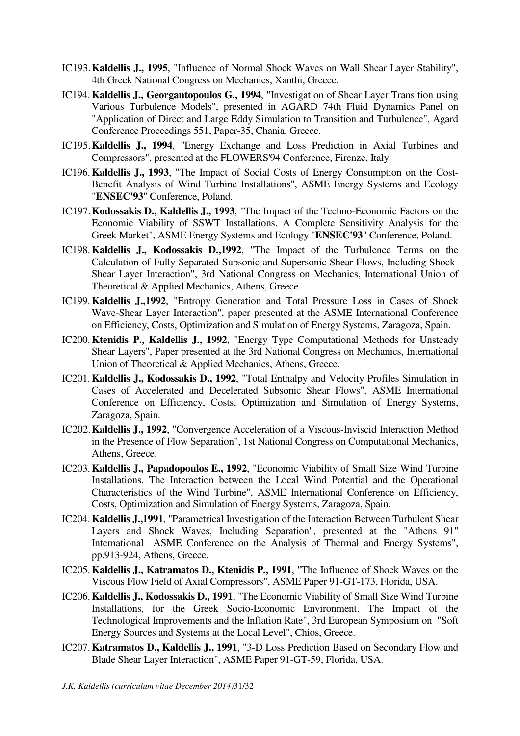- IC193.**Kaldellis J., 1995**, "Influence of Normal Shock Waves on Wall Shear Layer Stability", 4th Greek National Congress on Mechanics, Xanthi, Greece.
- IC194.**Kaldellis J., Georgantopoulos G., 1994**, "Investigation of Shear Layer Transition using Various Turbulence Models", presented in AGARD 74th Fluid Dynamics Panel on "Application of Direct and Large Eddy Simulation to Transition and Turbulence", Agard Conference Proceedings 551, Paper-35, Chania, Greece.
- IC195.**Kaldellis J., 1994**, "Energy Exchange and Loss Prediction in Axial Turbines and Compressors", presented at the FLOWERS'94 Conference, Firenze, Italy.
- IC196.**Kaldellis J., 1993**, "The Impact of Social Costs of Energy Consumption on the Cost-Benefit Analysis of Wind Turbine Installations", ASME Energy Systems and Ecology "**ENSEC'93**" Conference, Poland.
- IC197.**Kodossakis D., Kaldellis J., 1993**, "The Impact of the Techno-Economic Factors on the Economic Viability of SSWT Installations. A Complete Sensitivity Analysis for the Greek Market", ASME Energy Systems and Ecology "**ENSEC'93**" Conference, Poland.
- IC198.**Kaldellis J., Kodossakis D.,1992**, "The Impact of the Turbulence Terms on the Calculation of Fully Separated Subsonic and Supersonic Shear Flows, Including Shock-Shear Layer Interaction", 3rd National Congress on Mechanics, International Union of Theoretical & Applied Mechanics, Athens, Greece.
- IC199.**Kaldellis J.,1992**, "Entropy Generation and Total Pressure Loss in Cases of Shock Wave-Shear Layer Interaction", paper presented at the ASME International Conference on Efficiency, Costs, Optimization and Simulation of Energy Systems, Zaragoza, Spain.
- IC200.**Ktenidis P., Kaldellis J., 1992**, "Energy Type Computational Methods for Unsteady Shear Layers", Paper presented at the 3rd National Congress on Mechanics, International Union of Theoretical & Applied Mechanics, Athens, Greece.
- IC201.**Kaldellis J., Kodossakis D., 1992**, "Total Enthalpy and Velocity Profiles Simulation in Cases of Accelerated and Decelerated Subsonic Shear Flows", ASME International Conference on Efficiency, Costs, Optimization and Simulation of Energy Systems, Zaragoza, Spain.
- IC202.**Kaldellis J., 1992**, "Convergence Acceleration of a Viscous-Inviscid Interaction Method in the Presence of Flow Separation", 1st National Congress on Computational Mechanics, Athens, Greece.
- IC203.**Kaldellis J., Papadopoulos E., 1992**, "Economic Viability of Small Size Wind Turbine Installations. The Interaction between the Local Wind Potential and the Operational Characteristics of the Wind Turbine", ASME International Conference on Efficiency, Costs, Optimization and Simulation of Energy Systems, Zaragoza, Spain.
- IC204.**Kaldellis J.,1991**, "Parametrical Investigation of the Interaction Between Turbulent Shear Layers and Shock Waves, Including Separation", presented at the "Athens 91" International ASME Conference on the Analysis of Thermal and Energy Systems", pp.913-924, Athens, Greece.
- IC205.**Kaldellis J., Katramatos D., Ktenidis P., 1991**, "The Influence of Shock Waves on the Viscous Flow Field of Axial Compressors", ASME Paper 91-GT-173, Florida, USA.
- IC206.**Kaldellis J., Kodossakis D., 1991**, "The Economic Viability of Small Size Wind Turbine Installations, for the Greek Socio-Economic Environment. The Impact of the Technological Improvements and the Inflation Rate", 3rd European Symposium on "Soft Energy Sources and Systems at the Local Level", Chios, Greece.
- IC207.**Katramatos D., Kaldellis J., 1991**, "3-D Loss Prediction Based on Secondary Flow and Blade Shear Layer Interaction", ASME Paper 91-GT-59, Florida, USA.